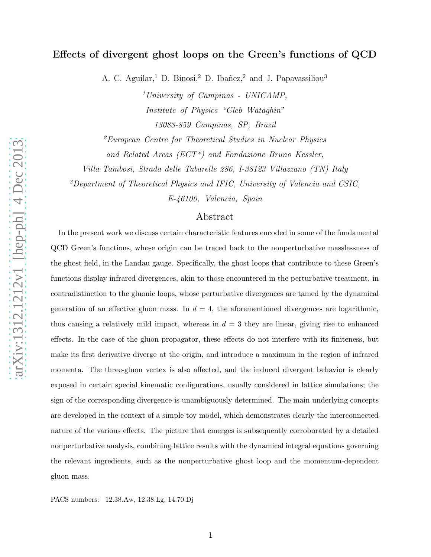# Effects of divergent ghost loops on the Green's functions of QCD

A. C. Aguilar,<sup>1</sup> D. Binosi,<sup>2</sup> D. Ibañez,<sup>2</sup> and J. Papavassiliou<sup>3</sup>

 $<sup>1</sup> University of Campinas - UNICAMP$ ,</sup> Institute of Physics "Gleb Wataghin" 13083-859 Campinas, SP, Brazil

 ${}^{2}E$ uropean Centre for Theoretical Studies in Nuclear Physics and Related Areas (ECT\*) and Fondazione Bruno Kessler,

Villa Tambosi, Strada delle Tabarelle 286, I-38123 Villazzano (TN) Italy

 ${}^{3}$ Department of Theoretical Physics and IFIC, University of Valencia and CSIC,

E-46100, Valencia, Spain

# Abstract

In the present work we discuss certain characteristic features encoded in some of the fundamental QCD Green's functions, whose origin can be traced back to the nonperturbative masslessness of the ghost field, in the Landau gauge. Specifically, the ghost loops that contribute to these Green's functions display infrared divergences, akin to those encountered in the perturbative treatment, in contradistinction to the gluonic loops, whose perturbative divergences are tamed by the dynamical generation of an effective gluon mass. In  $d = 4$ , the aforementioned divergences are logarithmic, thus causing a relatively mild impact, whereas in  $d = 3$  they are linear, giving rise to enhanced effects. In the case of the gluon propagator, these effects do not interfere with its finiteness, but make its first derivative diverge at the origin, and introduce a maximum in the region of infrared momenta. The three-gluon vertex is also affected, and the induced divergent behavior is clearly exposed in certain special kinematic configurations, usually considered in lattice simulations; the sign of the corresponding divergence is unambiguously determined. The main underlying concepts are developed in the context of a simple toy model, which demonstrates clearly the interconnected nature of the various effects. The picture that emerges is subsequently corroborated by a detailed nonperturbative analysis, combining lattice results with the dynamical integral equations governing the relevant ingredients, such as the nonperturbative ghost loop and the momentum-dependent gluon mass.

PACS numbers: 12.38.Aw, 12.38.Lg, 14.70.Dj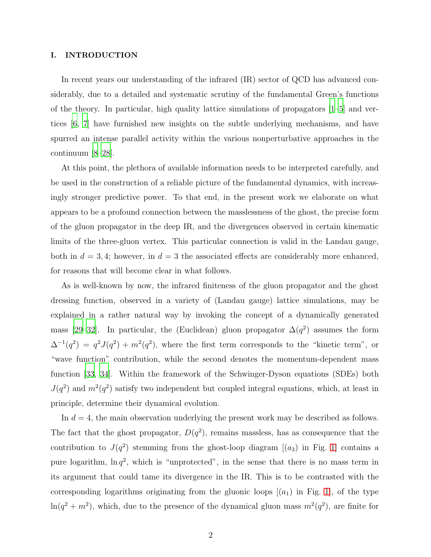# I. INTRODUCTION

In recent years our understanding of the infrared (IR) sector of QCD has advanced considerably, due to a detailed and systematic scrutiny of the fundamental Green's functions of the theory. In particular, high quality lattice simulations of propagators  $|1-5|$  and vertices [\[6,](#page-39-2) [7](#page-39-3)] have furnished new insights on the subtle underlying mechanisms, and have spurred an intense parallel activity within the various nonperturbative approaches in the continuum [\[8](#page-39-4)[–28\]](#page-40-0).

At this point, the plethora of available information needs to be interpreted carefully, and be used in the construction of a reliable picture of the fundamental dynamics, with increasingly stronger predictive power. To that end, in the present work we elaborate on what appears to be a profound connection between the masslessness of the ghost, the precise form of the gluon propagator in the deep IR, and the divergences observed in certain kinematic limits of the three-gluon vertex. This particular connection is valid in the Landau gauge, both in  $d = 3, 4$ ; however, in  $d = 3$  the associated effects are considerably more enhanced, for reasons that will become clear in what follows.

As is well-known by now, the infrared finiteness of the gluon propagator and the ghost dressing function, observed in a variety of (Landau gauge) lattice simulations, may be explained in a rather natural way by invoking the concept of a dynamically generated mass [\[29](#page-40-1)[–32](#page-40-2)]. In particular, the (Euclidean) gluon propagator  $\Delta(q^2)$  assumes the form  $\Delta^{-1}(q^2) = q^2 J(q^2) + m^2(q^2)$ , where the first term corresponds to the "kinetic term", or "wave function" contribution, while the second denotes the momentum-dependent mass function [\[33,](#page-40-3) [34\]](#page-40-4). Within the framework of the Schwinger-Dyson equations (SDEs) both  $J(q^2)$  and  $m^2(q^2)$  satisfy two independent but coupled integral equations, which, at least in principle, determine their dynamical evolution.

In  $d = 4$ , the main observation underlying the present work may be described as follows. The fact that the ghost propagator,  $D(q^2)$ , remains massless, has as consequence that the contribution to  $J(q^2)$  stemming from the ghost-loop diagram  $[(a_3)$  in Fig. 1 contains a pure logarithm,  $\ln q^2$ , which is "unprotected", in the sense that there is no mass term in its argument that could tame its divergence in the IR. This is to be contrasted with the corresponding logarithms originating from the gluonic loops  $[(a_1)$  in Fig. 1, of the type  $\ln(q^2 + m^2)$ , which, due to the presence of the dynamical gluon mass  $m^2(q^2)$ , are finite for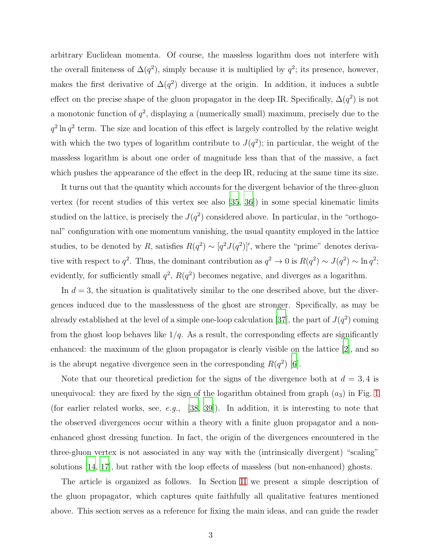arbitrary Euclidean momenta. Of course, the massless logarithm does not interfere with the overall finiteness of  $\Delta(q^2)$ , simply because it is multiplied by  $q^2$ ; its presence, however, makes the first derivative of  $\Delta(q^2)$  diverge at the origin. In addition, it induces a subtle effect on the precise shape of the gluon propagator in the deep IR. Specifically,  $\Delta(q^2)$  is not a monotonic function of  $q^2$ , displaying a (numerically small) maximum, precisely due to the  $q^2 \ln q^2$  term. The size and location of this effect is largely controlled by the relative weight with which the two types of logarithm contribute to  $J(q^2)$ ; in particular, the weight of the massless logarithm is about one order of magnitude less than that of the massive, a fact which pushes the appearance of the effect in the deep IR, reducing at the same time its size.

It turns out that the quantity which accounts for the divergent behavior of the three-gluon vertex (for recent studies of this vertex see also [\[35,](#page-40-5) [36](#page-40-6)]) in some special kinematic limits studied on the lattice, is precisely the  $J(q^2)$  considered above. In particular, in the "orthogonal" configuration with one momentum vanishing, the usual quantity employed in the lattice studies, to be denoted by R, satisfies  $R(q^2) \sim [q^2 J(q^2)]'$ , where the "prime" denotes derivative with respect to  $q^2$ . Thus, the dominant contribution as  $q^2 \to 0$  is  $R(q^2) \sim J(q^2) \sim \ln q^2$ ; evidently, for sufficiently small  $q^2$ ,  $R(q^2)$  becomes negative, and diverges as a logarithm.

In  $d = 3$ , the situation is qualitatively similar to the one described above, but the divergences induced due to the masslessness of the ghost are stronger. Specifically, as may be already established at the level of a simple one-loop calculation [\[37](#page-40-7)], the part of  $J(q^2)$  coming from the ghost loop behaves like  $1/q$ . As a result, the corresponding effects are significantly enhanced: the maximum of the gluon propagator is clearly visible on the lattice [\[2\]](#page-39-5), and so is the abrupt negative divergence seen in the corresponding  $R(q^2)$  [\[6\]](#page-39-2).

Note that our theoretical prediction for the signs of the divergence both at  $d = 3, 4$  is unequivocal: they are fixed by the sign of the logarithm obtained from graph  $(a_3)$  in Fig. [1](#page-4-0) (for earlier related works, see, e.g., [\[38,](#page-40-8) [39\]](#page-40-9)). In addition, it is interesting to note that the observed divergences occur within a theory with a finite gluon propagator and a nonenhanced ghost dressing function. In fact, the origin of the divergences encountered in the three-gluon vertex is not associated in any way with the (intrinsically divergent) "scaling" solutions [\[14,](#page-39-6) [17\]](#page-39-7), but rather with the loop effects of massless (but non-enhanced) ghosts.

The article is organized as follows. In Section [II](#page-3-0) we present a simple description of the gluon propagator, which captures quite faithfully all qualitative features mentioned above. This section serves as a reference for fixing the main ideas, and can guide the reader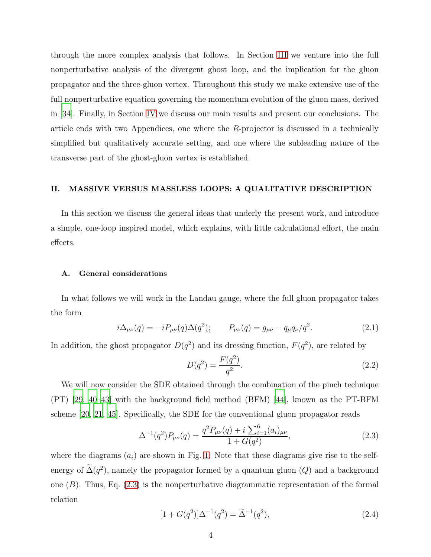through the more complex analysis that follows. In Section [III](#page-13-0) we venture into the full nonperturbative analysis of the divergent ghost loop, and the implication for the gluon propagator and the three-gluon vertex. Throughout this study we make extensive use of the full nonperturbative equation governing the momentum evolution of the gluon mass, derived in [\[34\]](#page-40-4). Finally, in Section [IV](#page-31-0) we discuss our main results and present our conclusions. The article ends with two Appendices, one where the  $R$ -projector is discussed in a technically simplified but qualitatively accurate setting, and one where the subleading nature of the transverse part of the ghost-gluon vertex is established.

# <span id="page-3-0"></span>II. MASSIVE VERSUS MASSLESS LOOPS: A QUALITATIVE DESCRIPTION

In this section we discuss the general ideas that underly the present work, and introduce a simple, one-loop inspired model, which explains, with little calculational effort, the main effects.

# A. General considerations

In what follows we will work in the Landau gauge, where the full gluon propagator takes the form

$$
i\Delta_{\mu\nu}(q) = -iP_{\mu\nu}(q)\Delta(q^2); \qquad P_{\mu\nu}(q) = g_{\mu\nu} - q_{\mu}q_{\nu}/q^2. \tag{2.1}
$$

In addition, the ghost propagator  $D(q^2)$  and its dressing function,  $F(q^2)$ , are related by

<span id="page-3-3"></span>
$$
D(q^2) = \frac{F(q^2)}{q^2}.
$$
\n(2.2)

We will now consider the SDE obtained through the combination of the pinch technique (PT) [\[29,](#page-40-1) [40](#page-40-10)[–43](#page-40-11)] with the background field method (BFM) [\[44\]](#page-40-12), known as the PT-BFM scheme [\[20,](#page-40-13) [21,](#page-40-14) [45\]](#page-40-15). Specifically, the SDE for the conventional gluon propagator reads

<span id="page-3-1"></span>
$$
\Delta^{-1}(q^2)P_{\mu\nu}(q) = \frac{q^2 P_{\mu\nu}(q) + i \sum_{i=1}^6 (a_i)_{\mu\nu}}{1 + G(q^2)},
$$
\n(2.3)

where the diagrams  $(a_i)$  are shown in Fig. [1.](#page-4-0) Note that these diagrams give rise to the selfenergy of  $\Delta(q^2)$ , namely the propagator formed by a quantum gluon  $(Q)$  and a background one  $(B)$ . Thus, Eq.  $(2.3)$  is the nonperturbative diagrammatic representation of the formal relation

<span id="page-3-2"></span>
$$
[1 + G(q^2)]\Delta^{-1}(q^2) = \tilde{\Delta}^{-1}(q^2), \qquad (2.4)
$$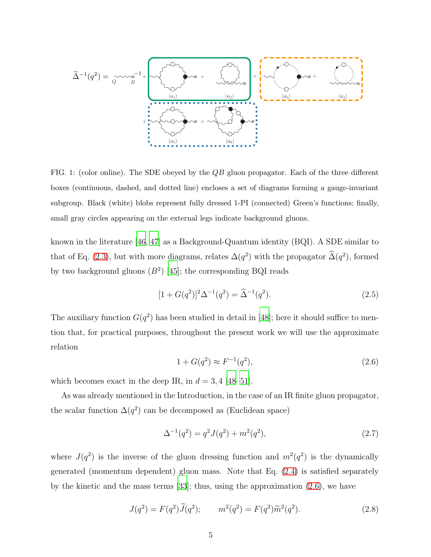$$
\widetilde{\Delta}^{-1}(q^{2}) = \underbrace{\gamma \sim \gamma_{B}^{-1}}_{Q} + \underbrace{\sqrt{\gamma_{B} \sim \gamma_{B}^{-1}}}_{\text{(a_1)} \text{ (a_2)} \text{ (b_1)} \text{ (c_2)}} + \underbrace{\sqrt{\gamma_{B} \sim \gamma_{B}^{-1}}}_{\text{(a_2)} \text{ (b_2)} \text{ (c_3)} \text{ (d_4)} \text{ (e_4)}}}_{\text{(b_1)} \text{ (c_2)} \text{ (d_3)} \text{ (e_5)} \text{ (f_1)} \text{ (g_2)} \text{ (g_3)} \text{ (h_4)} \text{ (h_5)} \text{ (i_6)} \text{ (i_7)} \text{ (ii_8)} \text{ (ii_9)} \text{ (iii_9)} \text{ (iv_1)} \text{ (iv_1)} \text{ (iv_2)} \text{ (iv_3)} \text{ (iv_4)} \text{ (v_5)} \text{ (v_6)} \text{ (v_7)} \text{ (v_8)} \text{ (v_9)} \text{ (v_9)} \text{ (v_1)} \text{ (v_1)} \text{ (v_1)} \text{ (v_2)} \text{ (v_3)} \text{ (v_4)} \text{ (v_6)} \text{ (v_7)} \text{ (v_8)} \text{ (v_9)} \text{ (v_9)} \text{ (v_1)} \text{ (v_1)} \text{ (v_1)} \text{ (v_2)} \text{ (v_3)} \text{ (v_4)} \text{ (v_6)} \text{ (v_7)} \text{ (v_8)} \text{ (v_9)} \text{ (v_9)} \text{ (v_1)} \text{ (v_1)} \text{ (v_1)} \text{ (v_2)} \text{ (v_3)} \text{ (v_4)} \text{ (v_6)} \text{ (v_7)} \text{ (v_8)} \text{ (v_9)} \text{ (v_9)} \text{ (v_1)} \text{ (v_1)} \text{ (v_1)} \text{ (v_2)} \text{ (v_3)} \text{ (v_4)} \text{ (v_6)} \text{ (v_7)} \text{ (v_8)} \text{ (v_9)} \text{ (v_9)} \text{ (v_9)} \text{ (v_1)} \text{ (v_1)} \text{ (v_1)} \text{ (v_1)} \text{ (v_2)} \text{ (v_3)} \text{ (v
$$

<span id="page-4-0"></span>FIG. 1: (color online). The SDE obeyed by the QB gluon propagator. Each of the three different boxes (continuous, dashed, and dotted line) encloses a set of diagrams forming a gauge-invariant subgroup. Black (white) blobs represent fully dressed 1-PI (connected) Green's functions; finally, small gray circles appearing on the external legs indicate background gluons.

known in the literature [\[46,](#page-40-16) [47](#page-40-17)] as a Background-Quantum identity (BQI). A SDE similar to that of Eq. [\(2.3\)](#page-3-1), but with more diagrams, relates  $\Delta(q^2)$  with the propagator  $\hat{\Delta}(q^2)$ , formed by two background gluons  $(B^2)$  [\[45](#page-40-15)]; the corresponding BQI reads

<span id="page-4-2"></span>
$$
[1 + G(q^2)]^2 \Delta^{-1}(q^2) = \widehat{\Delta}^{-1}(q^2). \tag{2.5}
$$

The auxiliary function  $G(q^2)$  has been studied in detail in [\[48\]](#page-41-0); here it should suffice to mention that, for practical purposes, throughout the present work we will use the approximate relation

<span id="page-4-1"></span>
$$
1 + G(q^2) \approx F^{-1}(q^2),
$$
\n(2.6)

which becomes exact in the deep IR, in  $d = 3, 4$  [\[48](#page-41-0)[–51\]](#page-41-1).

As was already mentioned in the Introduction, in the case of an IR finite gluon propagator, the scalar function  $\Delta(q^2)$  can be decomposed as (Euclidean space)

$$
\Delta^{-1}(q^2) = q^2 J(q^2) + m^2(q^2),\tag{2.7}
$$

where  $J(q^2)$  is the inverse of the gluon dressing function and  $m^2(q^2)$  is the dynamically generated (momentum dependent) gluon mass. Note that Eq. [\(2.4\)](#page-3-2) is satisfied separately by the kinetic and the mass terms [\[33\]](#page-40-3); thus, using the approximation [\(2.6\)](#page-4-1), we have

<span id="page-4-3"></span>
$$
J(q^2) = F(q^2)\tilde{J}(q^2); \qquad m^2(q^2) = F(q^2)\tilde{m}^2(q^2). \tag{2.8}
$$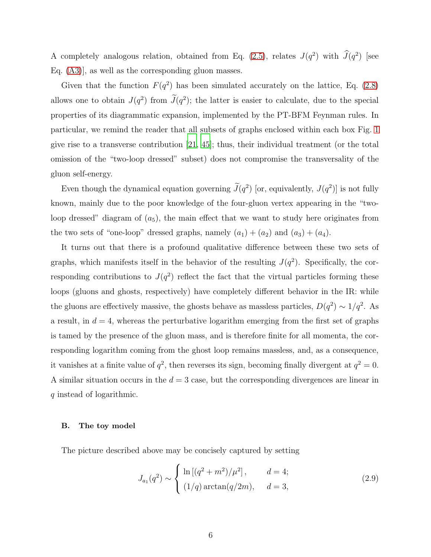A completely analogous relation, obtained from Eq. [\(2.5\)](#page-4-2), relates  $J(q^2)$  with  $\tilde{J}(q^2)$  [see Eq. [\(A3\)](#page-34-0)], as well as the corresponding gluon masses.

Given that the function  $F(q^2)$  has been simulated accurately on the lattice, Eq. [\(2.8\)](#page-4-3) allows one to obtain  $J(q^2)$  from  $J(q^2)$ ; the latter is easier to calculate, due to the special properties of its diagrammatic expansion, implemented by the PT-BFM Feynman rules. In particular, we remind the reader that all subsets of graphs enclosed within each box Fig. [1](#page-4-0) give rise to a transverse contribution [\[21](#page-40-14), [45\]](#page-40-15); thus, their individual treatment (or the total omission of the "two-loop dressed" subset) does not compromise the transversality of the gluon self-energy.

Even though the dynamical equation governing  $J(q^2)$  [or, equivalently,  $J(q^2)$ ] is not fully known, mainly due to the poor knowledge of the four-gluon vertex appearing in the "twoloop dressed" diagram of  $(a_5)$ , the main effect that we want to study here originates from the two sets of "one-loop" dressed graphs, namely  $(a_1) + (a_2)$  and  $(a_3) + (a_4)$ .

It turns out that there is a profound qualitative difference between these two sets of graphs, which manifests itself in the behavior of the resulting  $J(q^2)$ . Specifically, the corresponding contributions to  $J(q^2)$  reflect the fact that the virtual particles forming these loops (gluons and ghosts, respectively) have completely different behavior in the IR: while the gluons are effectively massive, the ghosts behave as massless particles,  $D(q^2) \sim 1/q^2$ . As a result, in  $d = 4$ , whereas the perturbative logarithm emerging from the first set of graphs is tamed by the presence of the gluon mass, and is therefore finite for all momenta, the corresponding logarithm coming from the ghost loop remains massless, and, as a consequence, it vanishes at a finite value of  $q^2$ , then reverses its sign, becoming finally divergent at  $q^2 = 0$ . A similar situation occurs in the  $d = 3$  case, but the corresponding divergences are linear in q instead of logarithmic.

# B. The toy model

The picture described above may be concisely captured by setting

$$
J_{a_1}(q^2) \sim \begin{cases} \ln\left[(q^2 + m^2)/\mu^2\right], & d = 4; \\ (1/q)\arctan(q/2m), & d = 3, \end{cases}
$$
 (2.9)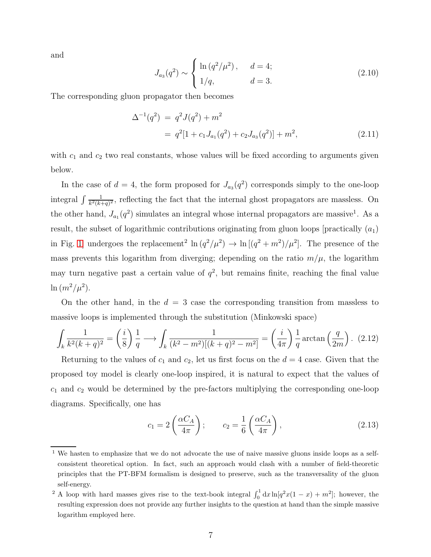and

$$
J_{a_3}(q^2) \sim \begin{cases} \ln(q^2/\mu^2), & d = 4; \\ 1/q, & d = 3. \end{cases}
$$
 (2.10)

The corresponding gluon propagator then becomes

<span id="page-6-0"></span>
$$
\Delta^{-1}(q^2) = q^2 J(q^2) + m^2
$$
  
=  $q^2 [1 + c_1 J_{a_1}(q^2) + c_2 J_{a_3}(q^2)] + m^2,$  (2.11)

with  $c_1$  and  $c_2$  two real constants, whose values will be fixed according to arguments given below.

In the case of  $d = 4$ , the form proposed for  $J_{a_3}(q^2)$  corresponds simply to the one-loop integral  $\int \frac{1}{k^2(k-1)}$  $\frac{1}{k^2(k+q)^2}$ , reflecting the fact that the internal ghost propagators are massless. On the other hand,  $J_{a_1}(q^2)$  simulates an integral whose internal propagators are massive<sup>1</sup>. As a result, the subset of logarithmic contributions originating from gluon loops [practically  $(a_1)$ ] in Fig. 1 undergoes the replacement<sup>2</sup>  $\ln (q^2/\mu^2) \rightarrow \ln [(q^2+m^2)/\mu^2]$ . The presence of the mass prevents this logarithm from diverging; depending on the ratio  $m/\mu$ , the logarithm may turn negative past a certain value of  $q^2$ , but remains finite, reaching the final value  $\ln(m^2/\mu^2)$ .

On the other hand, in the  $d = 3$  case the corresponding transition from massless to massive loops is implemented through the substitution (Minkowski space)

$$
\int_{k} \frac{1}{k^2 (k+q)^2} = \left(\frac{i}{8}\right) \frac{1}{q} \longrightarrow \int_{k} \frac{1}{(k^2 - m^2)[(k+q)^2 - m^2]} = \left(\frac{i}{4\pi}\right) \frac{1}{q} \arctan\left(\frac{q}{2m}\right). \tag{2.12}
$$

Returning to the values of  $c_1$  and  $c_2$ , let us first focus on the  $d = 4$  case. Given that the proposed toy model is clearly one-loop inspired, it is natural to expect that the values of  $c_1$  and  $c_2$  would be determined by the pre-factors multiplying the corresponding one-loop diagrams. Specifically, one has

$$
c_1 = 2\left(\frac{\alpha C_A}{4\pi}\right); \qquad c_2 = \frac{1}{6}\left(\frac{\alpha C_A}{4\pi}\right), \tag{2.13}
$$

<sup>&</sup>lt;sup>1</sup> We hasten to emphasize that we do not advocate the use of naive massive gluons inside loops as a selfconsistent theoretical option. In fact, such an approach would clash with a number of field-theoretic principles that the PT-BFM formalism is designed to preserve, such as the transversality of the gluon self-energy.

<sup>&</sup>lt;sup>2</sup> A loop with hard masses gives rise to the text-book integral  $\int_0^1 dx \ln[q^2x(1-x) + m^2]$ ; however, the resulting expression does not provide any further insights to the question at hand than the simple massive logarithm employed here.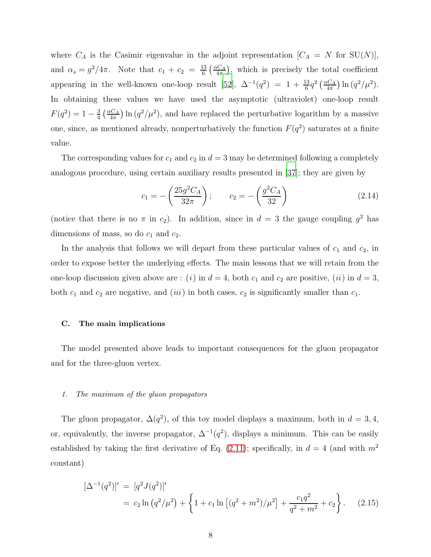where  $C_A$  is the Casimir eigenvalue in the adjoint representation  $[C_A = N \text{ for } SU(N)]$ , and  $\alpha_s = g^2/4\pi$ . Note that  $c_1 + c_2 = \frac{13}{6}$  $rac{13}{6}$   $\left(\frac{\alpha C_A}{4\pi}\right)$  $\frac{dC_A}{4\pi}$ , which is precisely the total coefficient appearing in the well-known one-loop result [\[52](#page-41-2)],  $\Delta^{-1}(q^2) = 1 + \frac{13}{6}q^2(\frac{\alpha C_A}{4\pi})$  $\frac{dC_A}{4\pi}$ ) ln  $(q^2/\mu^2)$ . In obtaining these values we have used the asymptotic (ultraviolet) one-loop result  $F(q^2) = 1 - \frac{3}{4}$  $rac{3}{4}$   $\left(\frac{\alpha C_A}{4\pi}\right)$  $\frac{dC_A}{4\pi}$ ) ln  $(q^2/\mu^2)$ , and have replaced the perturbative logarithm by a massive one, since, as mentioned already, nonperturbatively the function  $F(q^2)$  saturates at a finite value.

The corresponding values for  $c_1$  and  $c_2$  in  $d = 3$  may be determined following a completely analogous procedure, using certain auxiliary results presented in [\[37](#page-40-7)]; they are given by

$$
c_1 = -\left(\frac{25g^2C_A}{32\pi}\right); \qquad c_2 = -\left(\frac{g^2C_A}{32}\right)
$$
 (2.14)

(notice that there is no  $\pi$  in  $c_2$ ). In addition, since in  $d = 3$  the gauge coupling  $g^2$  has dimensions of mass, so do  $c_1$  and  $c_2$ .

In the analysis that follows we will depart from these particular values of  $c_1$  and  $c_2$ , in order to expose better the underlying effects. The main lessons that we will retain from the one-loop discussion given above are : (i) in  $d = 4$ , both  $c_1$  and  $c_2$  are positive, (ii) in  $d = 3$ , both  $c_1$  and  $c_2$  are negative, and (iii) in both cases,  $c_2$  is significantly smaller than  $c_1$ .

## C. The main implications

The model presented above leads to important consequences for the gluon propagator and for the three-gluon vertex.

# 1. The maximum of the gluon propagators

The gluon propagator,  $\Delta(q^2)$ , of this toy model displays a maximum, both in  $d = 3, 4$ , or, equivalently, the inverse propagator,  $\Delta^{-1}(q^2)$ , displays a minimum. This can be easily established by taking the first derivative of Eq. [\(2.11\)](#page-6-0); specifically, in  $d = 4$  (and with  $m<sup>2</sup>$ constant)

<span id="page-7-0"></span>
$$
[\Delta^{-1}(q^2)]' = [q^2 J(q^2)]'
$$
  
=  $c_2 \ln (q^2/\mu^2) + \left\{ 1 + c_1 \ln [(q^2 + m^2)/\mu^2] + \frac{c_1 q^2}{q^2 + m^2} + c_2 \right\}.$  (2.15)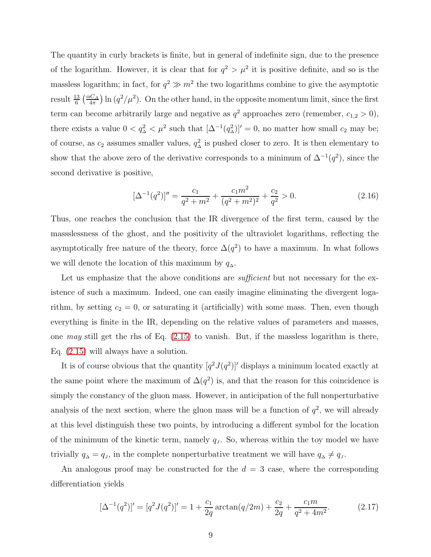The quantity in curly brackets is finite, but in general of indefinite sign, due to the presence of the logarithm. However, it is clear that for  $q^2 > \mu^2$  it is positive definite, and so is the massless logarithm; in fact, for  $q^2 \gg m^2$  the two logarithms combine to give the asymptotic result  $\frac{13}{6} \left( \frac{\alpha C_A}{4\pi} \right)$  $\frac{dC_A}{4\pi}$  ln  $(q^2/\mu^2)$ . On the other hand, in the opposite momentum limit, since the first term can become arbitrarily large and negative as  $q^2$  approaches zero (remember,  $c_{1,2} > 0$ ), there exists a value  $0 < q_\Delta^2 < \mu^2$  such that  $[\Delta^{-1}(q_\Delta^2)]' = 0$ , no matter how small  $c_2$  may be; of course, as  $c_2$  assumes smaller values,  $q_\Delta^2$  is pushed closer to zero. It is then elementary to show that the above zero of the derivative corresponds to a minimum of  $\Delta^{-1}(q^2)$ , since the second derivative is positive,

$$
[\Delta^{-1}(q^2)]'' = \frac{c_1}{q^2 + m^2} + \frac{c_1 m^2}{(q^2 + m^2)^2} + \frac{c_2}{q^2} > 0.
$$
 (2.16)

Thus, one reaches the conclusion that the IR divergence of the first term, caused by the massslessness of the ghost, and the positivity of the ultraviolet logarithms, reflecting the asymptotically free nature of the theory, force  $\Delta(q^2)$  to have a maximum. In what follows we will denote the location of this maximum by  $q_{\Delta}$ .

Let us emphasize that the above conditions are *sufficient* but not necessary for the existence of such a maximum. Indeed, one can easily imagine eliminating the divergent logarithm, by setting  $c_2 = 0$ , or saturating it (artificially) with some mass. Then, even though everything is finite in the IR, depending on the relative values of parameters and masses, one may still get the rhs of Eq.  $(2.15)$  to vanish. But, if the massless logarithm is there, Eq. [\(2.15\)](#page-7-0) will always have a solution.

It is of course obvious that the quantity  $[q^2J(q^2)]'$  displays a minimum located exactly at the same point where the maximum of  $\Delta(q^2)$  is, and that the reason for this coincidence is simply the constancy of the gluon mass. However, in anticipation of the full nonperturbative analysis of the next section, where the gluon mass will be a function of  $q^2$ , we will already at this level distinguish these two points, by introducing a different symbol for the location of the minimum of the kinetic term, namely  $q_J$ . So, whereas within the toy model we have trivially  $q_{\Delta} = q_{J}$ , in the complete nonperturbative treatment we will have  $q_{\Delta} \neq q_{J}$ .

An analogous proof may be constructed for the  $d = 3$  case, where the corresponding differentiation yields

<span id="page-8-0"></span>
$$
[\Delta^{-1}(q^2)]' = [q^2 J(q^2)]' = 1 + \frac{c_1}{2q} \arctan(q/2m) + \frac{c_2}{2q} + \frac{c_1 m}{q^2 + 4m^2}.
$$
 (2.17)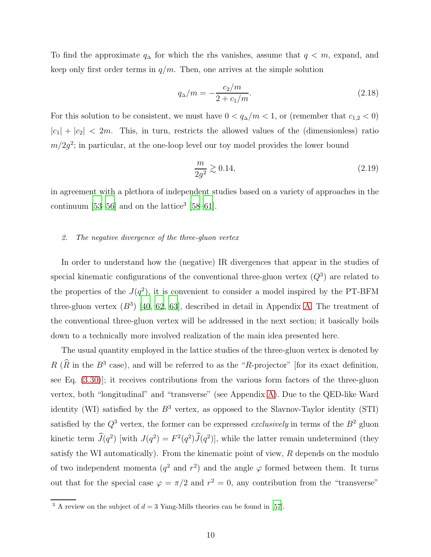To find the approximate  $q_{\Delta}$  for which the rhs vanishes, assume that  $q < m$ , expand, and keep only first order terms in  $q/m$ . Then, one arrives at the simple solution

$$
q_{\Delta}/m = -\frac{c_2/m}{2 + c_1/m}.\tag{2.18}
$$

For this solution to be consistent, we must have  $0 < q_{\Delta}/m < 1$ , or (remember that  $c_{1,2} < 0$ )  $|c_1| + |c_2| < 2m$ . This, in turn, restricts the allowed values of the (dimensionless) ratio  $m/2g^2$ ; in particular, at the one-loop level our toy model provides the lower bound

$$
\frac{m}{2g^2} \gtrsim 0.14,\tag{2.19}
$$

in agreement with a plethora of independent studies based on a variety of approaches in the continuum  $[53-56]$  and on the lattice<sup>3</sup>  $[58-61]$  $[58-61]$ .

#### 2. The negative divergence of the three-gluon vertex

In order to understand how the (negative) IR divergences that appear in the studies of special kinematic configurations of the conventional three-gluon vertex  $(Q<sup>3</sup>)$  are related to the properties of the  $J(q^2)$ , it is convenient to consider a model inspired by the PT-BFM three-gluon vertex  $(B^3)$  [\[40](#page-40-10), [62](#page-41-7), [63\]](#page-41-8), described in detail in Appendix [A.](#page-34-1) The treatment of the conventional three-gluon vertex will be addressed in the next section; it basically boils down to a technically more involved realization of the main idea presented here.

The usual quantity employed in the lattice studies of the three-gluon vertex is denoted by  $R(\hat{R} \text{ in the } B^3 \text{ case})$ , and will be referred to as the "R-projector" [for its exact definition, see Eq. [\(3.30\)](#page-21-0)]; it receives contributions from the various form factors of the three-gluon vertex, both "longitudinal" and "transverse" (see Appendix [A\)](#page-34-1). Due to the QED-like Ward identity (WI) satisfied by the  $B^3$  vertex, as opposed to the Slavnov-Taylor identity (STI) satisfied by the  $Q^3$  vertex, the former can be expressed *exclusively* in terms of the  $B^2$  gluon kinetic term  $\hat{J}(q^2)$  [with  $J(q^2) = F^2(q^2)\hat{J}(q^2)$ ], while the latter remain undetermined (they satisfy the WI automatically). From the kinematic point of view,  $R$  depends on the modulo of two independent momenta  $(q^2 \text{ and } r^2)$  and the angle  $\varphi$  formed between them. It turns out that for the special case  $\varphi = \pi/2$  and  $r^2 = 0$ , any contribution from the "transverse"

<sup>&</sup>lt;sup>3</sup> A review on the subject of  $d = 3$  Yang-Mills theories can be found in [\[57](#page-41-9)].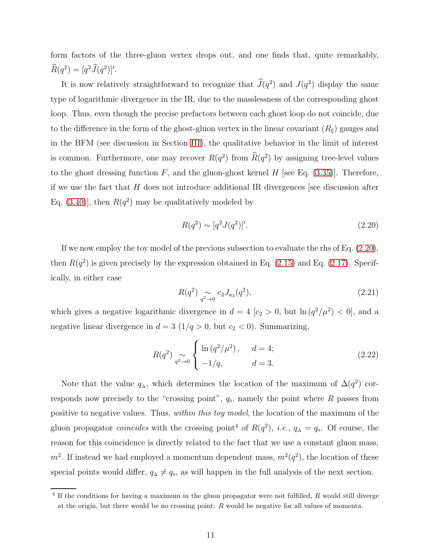form factors of the three-gluon vertex drops out, and one finds that, quite remarkably,  $\widehat{R}(q^2) = [q^2 \widehat{J}(q^2)]'.$ 

It is now relatively straightforward to recognize that  $\hat{J}(q^2)$  and  $J(q^2)$  display the same type of logarithmic divergence in the IR, due to the masslessness of the corresponding ghost loop. Thus, even though the precise prefactors between each ghost loop do not coincide, due to the difference in the form of the ghost-gluon vertex in the linear covariant  $(R_{\xi})$  gauges and in the BFM (see discussion in Section [III\)](#page-13-0), the qualitative behavior in the limit of interest is common. Furthermore, one may recover  $R(q^2)$  from  $\hat{R}(q^2)$  by assigning tree-level values to the ghost dressing function  $F$ , and the gluon-ghost kernel  $H$  [see Eq. [\(3.35\)](#page-22-0)]. Therefore, if we use the fact that H does not introduce additional IR divergences [see discussion after Eq.  $(3.40)$ , then  $R(q^2)$  may be qualitatively modeled by

<span id="page-10-0"></span>
$$
R(q^2) \sim [q^2 J(q^2)]'.
$$
\n(2.20)

If we now employ the toy model of the previous subsection to evaluate the rhs of Eq. [\(2.20\)](#page-10-0), then  $R(q^2)$  is given precisely by the expression obtained in Eq. [\(2.15\)](#page-7-0) and Eq. [\(2.17\)](#page-8-0). Specifically, in either case

$$
R(q^2) \underset{q^2 \to 0}{\sim} c_2 J_{a_3}(q^2), \tag{2.21}
$$

which gives a negative logarithmic divergence in  $d = 4$  [ $c_2 > 0$ , but  $\ln (q^2/\mu^2) < 0$ ], and a negative linear divergence in  $d = 3$  (1/q > 0, but  $c_2 < 0$ ). Summarizing,

<span id="page-10-1"></span>
$$
R(q^2) \underset{q^2 \to 0}{\sim} \begin{cases} \ln(q^2/\mu^2), & d = 4; \\ -1/q, & d = 3. \end{cases}
$$
 (2.22)

Note that the value  $q_{\Delta}$ , which determines the location of the maximum of  $\Delta(q^2)$  corresponds now precisely to the "crossing point",  $q_0$ , namely the point where R passes from positive to negative values. Thus, within this toy model, the location of the maximum of the gluon propagator *coincides* with the crossing point<sup>4</sup> of  $R(q^2)$ , *i.e.*,  $q_{\Delta} = q_0$ . Of course, the reason for this coincidence is directly related to the fact that we use a constant gluon mass,  $m^2$ . If instead we had employed a momentum dependent mass,  $m^2(q^2)$ , the location of these special points would differ,  $q_{\Delta} \neq q_0$ , as will happen in the full analysis of the next section.

 $4$  If the conditions for having a maximum in the gluon propagator were not fulfilled,  $R$  would still diverge at the origin, but there would be no crossing point: R would be negative for all values of momenta.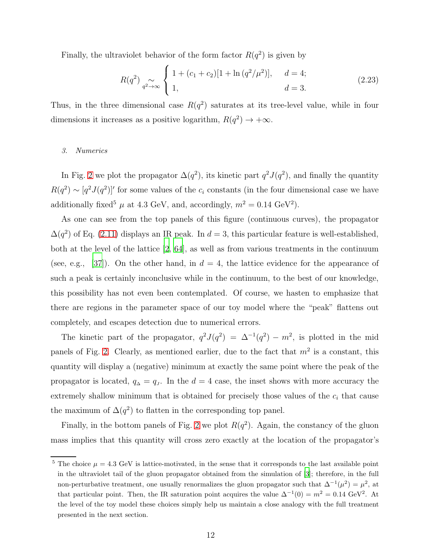Finally, the ultraviolet behavior of the form factor  $R(q^2)$  is given by

<span id="page-11-0"></span>
$$
R(q^2) \underset{q^2 \to \infty}{\sim} \begin{cases} 1 + (c_1 + c_2)[1 + \ln(q^2/\mu^2)], & d = 4; \\ 1, & d = 3. \end{cases}
$$
 (2.23)

Thus, in the three dimensional case  $R(q^2)$  saturates at its tree-level value, while in four dimensions it increases as a positive logarithm,  $R(q^2) \rightarrow +\infty$ .

# 3. Numerics

In Fig. [2](#page-12-0) we plot the propagator  $\Delta(q^2)$ , its kinetic part  $q^2 J(q^2)$ , and finally the quantity  $R(q^2) \sim [q^2 J(q^2)]'$  for some values of the  $c_i$  constants (in the four dimensional case we have additionally fixed<sup>5</sup>  $\mu$  at 4.3 GeV, and, accordingly,  $m^2 = 0.14 \text{ GeV}^2$ .

As one can see from the top panels of this figure (continuous curves), the propagator  $\Delta(q^2)$  of Eq. [\(2.11\)](#page-6-0) displays an IR peak. In  $d=3$ , this particular feature is well-established, both at the level of the lattice [\[2](#page-39-5), [64](#page-41-10)], as well as from various treatments in the continuum (see, e.g., [\[37\]](#page-40-7)). On the other hand, in  $d = 4$ , the lattice evidence for the appearance of such a peak is certainly inconclusive while in the continuum, to the best of our knowledge, this possibility has not even been contemplated. Of course, we hasten to emphasize that there are regions in the parameter space of our toy model where the "peak" flattens out completely, and escapes detection due to numerical errors.

The kinetic part of the propagator,  $q^2 J(q^2) = \Delta^{-1}(q^2) - m^2$ , is plotted in the mid panels of Fig. [2.](#page-12-0) Clearly, as mentioned earlier, due to the fact that  $m^2$  is a constant, this quantity will display a (negative) minimum at exactly the same point where the peak of the propagator is located,  $q_{\Delta} = q_{\rm J}$ . In the  $d = 4$  case, the inset shows with more accuracy the extremely shallow minimum that is obtained for precisely those values of the  $c_i$  that cause the maximum of  $\Delta(q^2)$  to flatten in the corresponding top panel.

Finally, in the bottom panels of Fig. [2](#page-12-0) we plot  $R(q^2)$ . Again, the constancy of the gluon mass implies that this quantity will cross zero exactly at the location of the propagator's

 $5$  The choice  $\mu = 4.3$  GeV is lattice-motivated, in the sense that it corresponds to the last available point in the ultraviolet tail of the gluon propagator obtained from the simulation of [\[3](#page-39-8)]; therefore, in the full non-perturbative treatment, one usually renormalizes the gluon propagator such that  $\Delta^{-1}(\mu^2) = \mu^2$ , at that particular point. Then, the IR saturation point acquires the value  $\Delta^{-1}(0) = m^2 = 0.14 \text{ GeV}^2$ . At the level of the toy model these choices simply help us maintain a close analogy with the full treatment presented in the next section.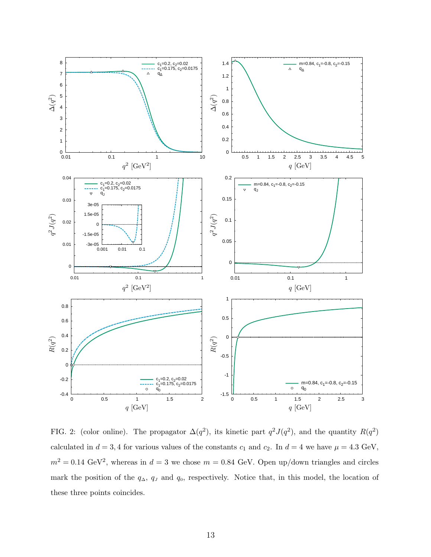

<span id="page-12-0"></span>FIG. 2: (color online). The propagator  $\Delta(q^2)$ , its kinetic part  $q^2J(q^2)$ , and the quantity  $R(q^2)$ calculated in  $d = 3, 4$  for various values of the constants  $c_1$  and  $c_2$ . In  $d = 4$  we have  $\mu = 4.3$  GeV,  $m^2 = 0.14 \text{ GeV}^2$ , whereas in  $d = 3$  we chose  $m = 0.84 \text{ GeV}$ . Open up/down triangles and circles mark the position of the  $q_\Delta$ ,  $q_J$  and  $q_0$ , respectively. Notice that, in this model, the location of these three points coincides.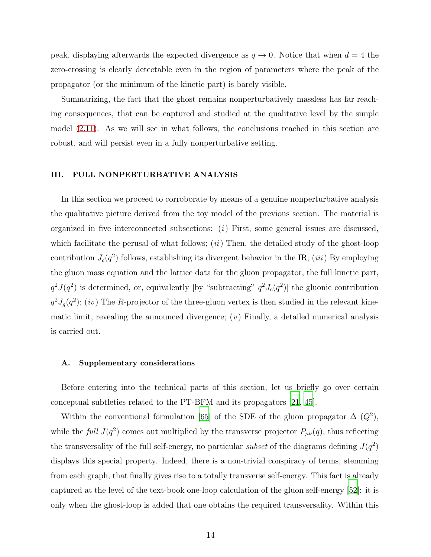peak, displaying afterwards the expected divergence as  $q \to 0$ . Notice that when  $d = 4$  the zero-crossing is clearly detectable even in the region of parameters where the peak of the propagator (or the minimum of the kinetic part) is barely visible.

Summarizing, the fact that the ghost remains nonperturbatively massless has far reaching consequences, that can be captured and studied at the qualitative level by the simple model [\(2.11\)](#page-6-0). As we will see in what follows, the conclusions reached in this section are robust, and will persist even in a fully nonperturbative setting.

# <span id="page-13-0"></span>III. FULL NONPERTURBATIVE ANALYSIS

In this section we proceed to corroborate by means of a genuine nonperturbative analysis the qualitative picture derived from the toy model of the previous section. The material is organized in five interconnected subsections:  $(i)$  First, some general issues are discussed, which facilitate the perusal of what follows;  $(ii)$  Then, the detailed study of the ghost-loop contribution  $J_c(q^2)$  follows, establishing its divergent behavior in the IR; *(iii)* By employing the gluon mass equation and the lattice data for the gluon propagator, the full kinetic part,  $q^2J(q^2)$  is determined, or, equivalently [by "subtracting"  $q^2J_c(q^2)$ ] the gluonic contribution  $q^2J_g(q^2)$ ; (iv) The R-projector of the three-gluon vertex is then studied in the relevant kinematic limit, revealing the announced divergence;  $(v)$  Finally, a detailed numerical analysis is carried out.

# A. Supplementary considerations

Before entering into the technical parts of this section, let us briefly go over certain conceptual subtleties related to the PT-BFM and its propagators [\[21,](#page-40-14) [45](#page-40-15)].

Within the conventional formulation [\[65\]](#page-41-11) of the SDE of the gluon propagator  $\Delta(Q^2)$ , while the full  $J(q^2)$  comes out multiplied by the transverse projector  $P_{\mu\nu}(q)$ , thus reflecting the transversality of the full self-energy, no particular *subset* of the diagrams defining  $J(q^2)$ displays this special property. Indeed, there is a non-trivial conspiracy of terms, stemming from each graph, that finally gives rise to a totally transverse self-energy. This fact is already captured at the level of the text-book one-loop calculation of the gluon self-energy [\[52\]](#page-41-2): it is only when the ghost-loop is added that one obtains the required transversality. Within this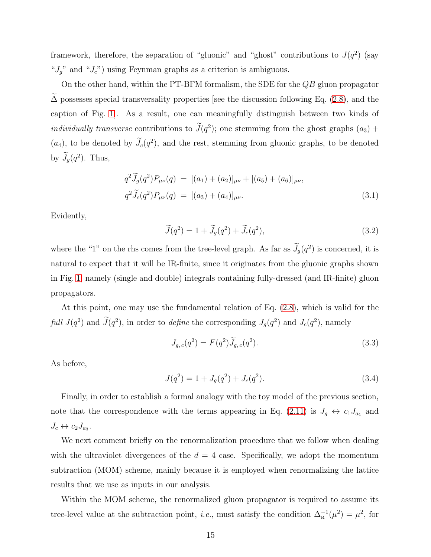framework, therefore, the separation of "gluonic" and "ghost" contributions to  $J(q^2)$  (say " $J_g$ " and " $J_c$ ") using Feynman graphs as a criterion is ambiguous.

On the other hand, within the PT-BFM formalism, the SDE for the  $QB$  gluon propagator  $\Delta$  possesses special transversality properties [see the discussion following Eq. [\(2.8\)](#page-4-3), and the caption of Fig. [1\]](#page-4-0). As a result, one can meaningfully distinguish between two kinds of individually transverse contributions to  $J(q^2)$ ; one stemming from the ghost graphs  $(a_3)$  +  $(a_4)$ , to be denoted by  $J_c(q^2)$ , and the rest, stemming from gluonic graphs, to be denoted by  $J_g(q^2)$ . Thus,

$$
q^{2}\widetilde{J}_{g}(q^{2})P_{\mu\nu}(q) = [(a_{1}) + (a_{2})]_{\mu\nu} + [(a_{5}) + (a_{6})]_{\mu\nu},
$$
  

$$
q^{2}\widetilde{J}_{c}(q^{2})P_{\mu\nu}(q) = [(a_{3}) + (a_{4})]_{\mu\nu}.
$$
 (3.1)

Evidently,

$$
\widetilde{J}(q^2) = 1 + \widetilde{J}_g(q^2) + \widetilde{J}_c(q^2),\tag{3.2}
$$

where the "1" on the rhs comes from the tree-level graph. As far as  $J_g(q^2)$  is concerned, it is natural to expect that it will be IR-finite, since it originates from the gluonic graphs shown in Fig. [1,](#page-4-0) namely (single and double) integrals containing fully-dressed (and IR-finite) gluon propagators.

At this point, one may use the fundamental relation of Eq. [\(2.8\)](#page-4-3), which is valid for the full  $J(q^2)$  and  $J(q^2)$ , in order to define the corresponding  $J_g(q^2)$  and  $J_c(q^2)$ , namely

$$
J_{g,c}(q^2) = F(q^2)\tilde{J}_{g,c}(q^2).
$$
\n(3.3)

As before,

<span id="page-14-0"></span>
$$
J(q^2) = 1 + J_g(q^2) + J_c(q^2). \tag{3.4}
$$

Finally, in order to establish a formal analogy with the toy model of the previous section, note that the correspondence with the terms appearing in Eq. [\(2.11\)](#page-6-0) is  $J_g \leftrightarrow c_1 J_{a_1}$  and  $J_c \leftrightarrow c_2 J_{a_3}.$ 

We next comment briefly on the renormalization procedure that we follow when dealing with the ultraviolet divergences of the  $d = 4$  case. Specifically, we adopt the momentum subtraction (MOM) scheme, mainly because it is employed when renormalizing the lattice results that we use as inputs in our analysis.

Within the MOM scheme, the renormalized gluon propagator is required to assume its tree-level value at the subtraction point, *i.e.*, must satisfy the condition  $\Delta_{\rm R}^{-1}(\mu^2) = \mu^2$ , for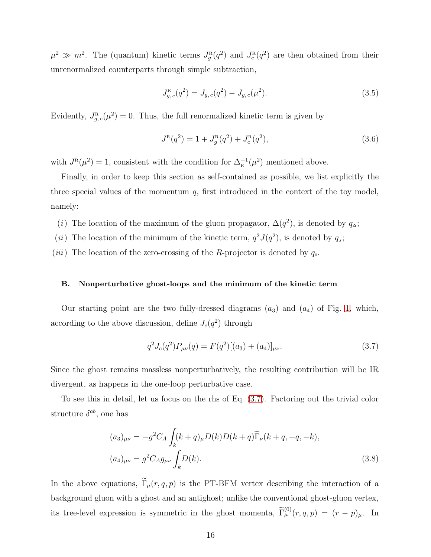$\mu^2 \gg m^2$ . The (quantum) kinetic terms  $J_g^R(q^2)$  and  $J_c^R(q^2)$  are then obtained from their unrenormalized counterparts through simple subtraction,

$$
J_{g,c}^{\text{R}}(q^2) = J_{g,c}(q^2) - J_{g,c}(\mu^2). \tag{3.5}
$$

Evidently,  $J_{g,c}^{\text{R}}(\mu^2) = 0$ . Thus, the full renormalized kinetic term is given by

$$
J^{\rm R}(q^2) = 1 + J^{\rm R}_g(q^2) + J^{\rm R}_c(q^2), \qquad (3.6)
$$

with  $J^{\rm R}(\mu^2) = 1$ , consistent with the condition for  $\Delta_{\rm R}^{-1}(\mu^2)$  mentioned above.

Finally, in order to keep this section as self-contained as possible, we list explicitly the three special values of the momentum  $q$ , first introduced in the context of the toy model, namely:

- (i) The location of the maximum of the gluon propagator,  $\Delta(q^2)$ , is denoted by  $q_{\Delta}$ ;
- (*ii*) The location of the minimum of the kinetic term,  $q^2 J(q^2)$ , is denoted by  $q_j$ ;
- (*iii*) The location of the zero-crossing of the R-projector is denoted by  $q_0$ .

#### B. Nonperturbative ghost-loops and the minimum of the kinetic term

Our starting point are the two fully-dressed diagrams  $(a_3)$  and  $(a_4)$  of Fig. [1,](#page-4-0) which, according to the above discussion, define  $J_c(q^2)$  through

<span id="page-15-1"></span><span id="page-15-0"></span>
$$
q^{2} J_{c}(q^{2}) P_{\mu\nu}(q) = F(q^{2}) [(a_{3}) + (a_{4})]_{\mu\nu}.
$$
\n(3.7)

Since the ghost remains massless nonperturbatively, the resulting contribution will be IR divergent, as happens in the one-loop perturbative case.

To see this in detail, let us focus on the rhs of Eq. [\(3.7\)](#page-15-0). Factoring out the trivial color structure  $\delta^{ab}$ , one has

$$
(a_3)_{\mu\nu} = -g^2 C_A \int_k (k+q)_{\mu} D(k) D(k+q) \widetilde{\Gamma}_{\nu}(k+q, -q, -k),
$$
  

$$
(a_4)_{\mu\nu} = g^2 C_A g_{\mu\nu} \int_k D(k).
$$
 (3.8)

In the above equations,  $\widetilde{\Gamma}_{\mu}(r, q, p)$  is the PT-BFM vertex describing the interaction of a background gluon with a ghost and an antighost; unlike the conventional ghost-gluon vertex, its tree-level expression is symmetric in the ghost momenta,  $\tilde{\Gamma}_{\mu}^{(0)}(r,q,p) = (r-p)_{\mu}$ . In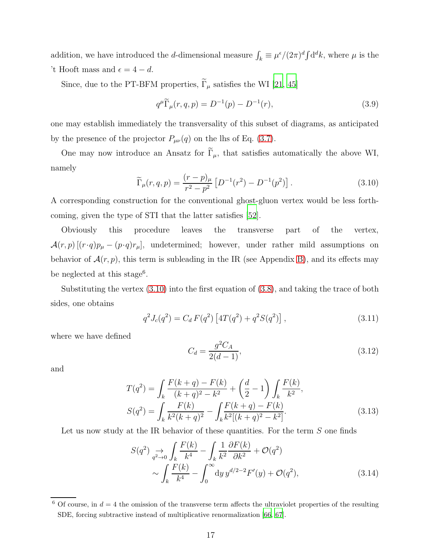addition, we have introduced the *d*-dimensional measure  $\int_k \equiv \mu^{\epsilon}/(2\pi)^d \int d^d k$ , where  $\mu$  is the 't Hooft mass and  $\epsilon = 4 - d$ .

Since, due to the PT-BFM properties,  $\widetilde{\Gamma}_{\mu}$  satisfies the WI [\[21,](#page-40-14) [45\]](#page-40-15)

<span id="page-16-4"></span>
$$
q^{\mu}\widetilde{\Gamma}_{\mu}(r,q,p) = D^{-1}(p) - D^{-1}(r),\tag{3.9}
$$

one may establish immediately the transversality of this subset of diagrams, as anticipated by the presence of the projector  $P_{\mu\nu}(q)$  on the lhs of Eq. [\(3.7\)](#page-15-0).

One may now introduce an Ansatz for  $\tilde{\Gamma}_{\mu}$ , that satisfies automatically the above WI, namely

<span id="page-16-0"></span>
$$
\widetilde{\Gamma}_{\mu}(r,q,p) = \frac{(r-p)_{\mu}}{r^2 - p^2} \left[ D^{-1}(r^2) - D^{-1}(p^2) \right]. \tag{3.10}
$$

A corresponding construction for the conventional ghost-gluon vertex would be less forthcoming, given the type of STI that the latter satisfies [\[52\]](#page-41-2).

Obviously this procedure leaves the transverse part of the vertex,  $\mathcal{A}(r,p)$  [ $(r \cdot q)p_{\mu} - (p \cdot q)r_{\mu}$ ], undetermined; however, under rather mild assumptions on behavior of  $\mathcal{A}(r, p)$ , this term is subleading in the IR (see Appendix [B\)](#page-38-0), and its effects may be neglected at this stage<sup>6</sup>.

Substituting the vertex [\(3.10\)](#page-16-0) into the first equation of [\(3.8\)](#page-15-1), and taking the trace of both sides, one obtains

<span id="page-16-2"></span>
$$
q^{2}J_{c}(q^{2}) = C_{d} F(q^{2}) \left[ 4T(q^{2}) + q^{2}S(q^{2}) \right], \qquad (3.11)
$$

where we have defined

<span id="page-16-3"></span><span id="page-16-1"></span>
$$
C_d = \frac{g^2 C_A}{2(d-1)},
$$
\n(3.12)

and

$$
T(q^2) = \int_k \frac{F(k+q) - F(k)}{(k+q)^2 - k^2} + \left(\frac{d}{2} - 1\right) \int_k \frac{F(k)}{k^2},
$$
  
\n
$$
S(q^2) = \int_k \frac{F(k)}{k^2(k+q)^2} - \int_k \frac{F(k+q) - F(k)}{k^2[(k+q)^2 - k^2]}.
$$
\n(3.13)

Let us now study at the IR behavior of these quantities. For the term S one finds

$$
S(q^2) \underset{q^2 \to 0}{\to} \int_k \frac{F(k)}{k^4} - \int_k \frac{1}{k^2} \frac{\partial F(k)}{\partial k^2} + \mathcal{O}(q^2)
$$
  
 
$$
\sim \int_k \frac{F(k)}{k^4} - \int_0^\infty dy \, y^{d/2 - 2} F'(y) + \mathcal{O}(q^2), \tag{3.14}
$$

<sup>&</sup>lt;sup>6</sup> Of course, in  $d = 4$  the omission of the transverse term affects the ultraviolet properties of the resulting SDE, forcing subtractive instead of multiplicative renormalization [\[66](#page-41-12), [67](#page-41-13)].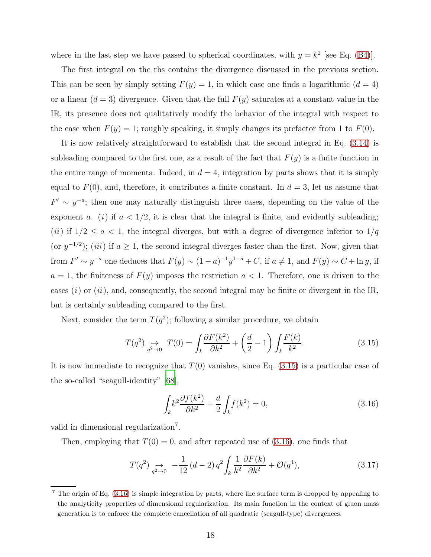where in the last step we have passed to spherical coordinates, with  $y = k^2$  [see Eq. [\(B4\)](#page-38-1)].

The first integral on the rhs contains the divergence discussed in the previous section. This can be seen by simply setting  $F(y) = 1$ , in which case one finds a logarithmic  $(d = 4)$ or a linear  $(d = 3)$  divergence. Given that the full  $F(y)$  saturates at a constant value in the IR, its presence does not qualitatively modify the behavior of the integral with respect to the case when  $F(y) = 1$ ; roughly speaking, it simply changes its prefactor from 1 to  $F(0)$ .

It is now relatively straightforward to establish that the second integral in Eq. [\(3.14\)](#page-16-1) is subleading compared to the first one, as a result of the fact that  $F(y)$  is a finite function in the entire range of momenta. Indeed, in  $d = 4$ , integration by parts shows that it is simply equal to  $F(0)$ , and, therefore, it contributes a finite constant. In  $d=3$ , let us assume that  $F' \sim y^{-a}$ ; then one may naturally distinguish three cases, depending on the value of the exponent a. (i) if  $a < 1/2$ , it is clear that the integral is finite, and evidently subleading; (*ii*) if  $1/2 \le a < 1$ , the integral diverges, but with a degree of divergence inferior to  $1/q$ (or  $y^{-1/2}$ ); (iii) if  $a \ge 1$ , the second integral diverges faster than the first. Now, given that from  $F' \sim y^{-a}$  one deduces that  $F(y) \sim (1-a)^{-1}y^{1-a} + C$ , if  $a \neq 1$ , and  $F(y) \sim C + \ln y$ , if  $a = 1$ , the finiteness of  $F(y)$  imposes the restriction  $a < 1$ . Therefore, one is driven to the cases  $(i)$  or  $(ii)$ , and, consequently, the second integral may be finite or divergent in the IR, but is certainly subleading compared to the first.

Next, consider the term  $T(q^2)$ ; following a similar procedure, we obtain

<span id="page-17-0"></span>
$$
T(q^2) \underset{q^2 \to 0}{\to} T(0) = \int_k \frac{\partial F(k^2)}{\partial k^2} + \left(\frac{d}{2} - 1\right) \int_k \frac{F(k)}{k^2}.\tag{3.15}
$$

It is now immediate to recognize that  $T(0)$  vanishes, since Eq. [\(3.15\)](#page-17-0) is a particular case of the so-called "seagull-identity" [\[68](#page-41-14)],

<span id="page-17-1"></span>
$$
\int_{k} k^{2} \frac{\partial f(k^{2})}{\partial k^{2}} + \frac{d}{2} \int_{k} f(k^{2}) = 0,
$$
\n(3.16)

valid in dimensional regularization<sup>7</sup>.

Then, employing that  $T(0) = 0$ , and after repeated use of  $(3.16)$ , one finds that

$$
T(q^2) \underset{q^2 \to 0}{\to} -\frac{1}{12} (d-2) q^2 \int_k \frac{1}{k^2} \frac{\partial F(k)}{\partial k^2} + \mathcal{O}(q^4), \tag{3.17}
$$

<sup>7</sup> The origin of Eq. [\(3.16\)](#page-17-1) is simple integration by parts, where the surface term is dropped by appealing to the analyticity properties of dimensional regularization. Its main function in the context of gluon mass generation is to enforce the complete cancellation of all quadratic (seagull-type) divergences.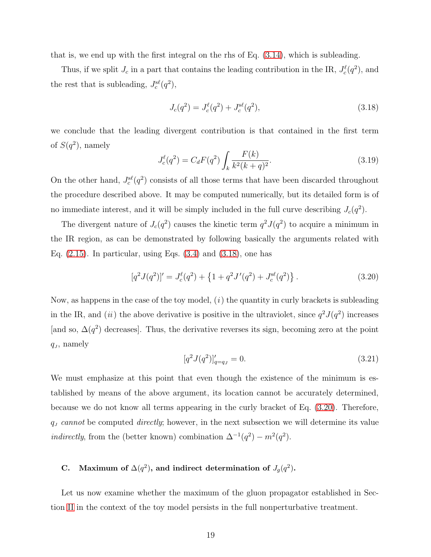that is, we end up with the first integral on the rhs of Eq. [\(3.14\)](#page-16-1), which is subleading.

Thus, if we split  $J_c$  in a part that contains the leading contribution in the IR,  $J_c^{\ell}(q^2)$ , and the rest that is subleading,  $J_c^{s\ell}(q^2)$ ,

<span id="page-18-0"></span>
$$
J_c(q^2) = J_c^{\ell}(q^2) + J_c^{s\ell}(q^2),\tag{3.18}
$$

we conclude that the leading divergent contribution is that contained in the first term of  $S(q^2)$ , namely

<span id="page-18-2"></span>
$$
J_c^{\ell}(q^2) = C_d F(q^2) \int_k \frac{F(k)}{k^2 (k+q)^2}.
$$
 (3.19)

On the other hand,  $J_c^{s\ell}(q^2)$  consists of all those terms that have been discarded throughout the procedure described above. It may be computed numerically, but its detailed form is of no immediate interest, and it will be simply included in the full curve describing  $J_c(q^2)$ .

The divergent nature of  $J_c(q^2)$  causes the kinetic term  $q^2J(q^2)$  to acquire a minimum in the IR region, as can be demonstrated by following basically the arguments related with Eq.  $(2.15)$ . In particular, using Eqs.  $(3.4)$  and  $(3.18)$ , one has

<span id="page-18-1"></span>
$$
[q2J(q2)]' = Jcl(q2) + \{1 + q2J'(q2) + Jcsl(q2)\}.
$$
 (3.20)

Now, as happens in the case of the toy model,  $(i)$  the quantity in curly brackets is subleading in the IR, and (*ii*) the above derivative is positive in the ultraviolet, since  $q^2J(q^2)$  increases [and so,  $\Delta(q^2)$  decreases]. Thus, the derivative reverses its sign, becoming zero at the point  $q_J$ , namely

$$
[q^2 J(q^2)]'_{q=q_J} = 0.
$$
\n(3.21)

We must emphasize at this point that even though the existence of the minimum is established by means of the above argument, its location cannot be accurately determined, because we do not know all terms appearing in the curly bracket of Eq. [\(3.20\)](#page-18-1). Therefore,  $q_J$  cannot be computed directly; however, in the next subsection we will determine its value *indirectly*, from the (better known) combination  $\Delta^{-1}(q^2) - m^2(q^2)$ .

# C. Maximum of  $\Delta(q^2)$ , and indirect determination of  $J_g(q^2)$ .

Let us now examine whether the maximum of the gluon propagator established in Section [II](#page-3-0) in the context of the toy model persists in the full nonperturbative treatment.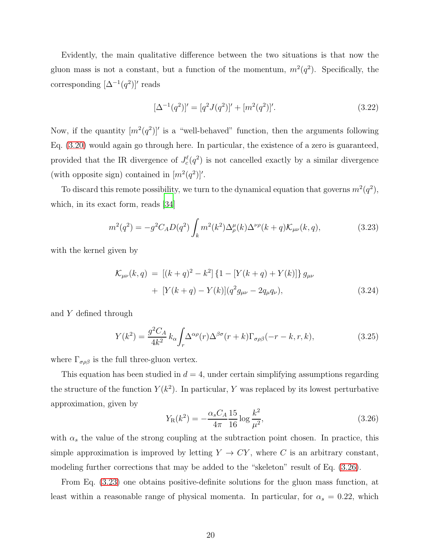Evidently, the main qualitative difference between the two situations is that now the gluon mass is not a constant, but a function of the momentum,  $m^2(q^2)$ . Specifically, the corresponding  $[\Delta^{-1}(q^2)]'$  reads

<span id="page-19-2"></span>
$$
[\Delta^{-1}(q^2)]' = [q^2 J(q^2)]' + [m^2(q^2)]'. \tag{3.22}
$$

Now, if the quantity  $[m^2(q^2)]'$  is a "well-behaved" function, then the arguments following Eq. [\(3.20\)](#page-18-1) would again go through here. In particular, the existence of a zero is guaranteed, provided that the IR divergence of  $J_c^{\ell}(q^2)$  is not cancelled exactly by a similar divergence (with opposite sign) contained in  $[m^2(q^2)]'$ .

To discard this remote possibility, we turn to the dynamical equation that governs  $m^2(q^2)$ , which, in its exact form, reads [\[34](#page-40-4)]

<span id="page-19-1"></span>
$$
m^{2}(q^{2}) = -g^{2}C_{A}D(q^{2}) \int_{k} m^{2}(k^{2}) \Delta_{\rho}^{\mu}(k) \Delta^{\nu\rho}(k+q) \mathcal{K}_{\mu\nu}(k,q), \qquad (3.23)
$$

with the kernel given by

$$
\mathcal{K}_{\mu\nu}(k,q) = [(k+q)^2 - k^2] \{1 - [Y(k+q) + Y(k)]\} g_{\mu\nu} + [Y(k+q) - Y(k)](q^2 g_{\mu\nu} - 2q_{\mu} q_{\nu}),
$$
\n(3.24)

and Y defined through

$$
Y(k^2) = \frac{g^2 C_A}{4k^2} k_\alpha \int_r \Delta^{\alpha \rho}(r) \Delta^{\beta \sigma}(r+k) \Gamma_{\sigma \rho \beta}(-r-k, r, k), \tag{3.25}
$$

where  $\Gamma_{\sigma\rho\beta}$  is the full three-gluon vertex.

This equation has been studied in  $d = 4$ , under certain simplifying assumptions regarding the structure of the function  $Y(k^2)$ . In particular, Y was replaced by its lowest perturbative approximation, given by

<span id="page-19-0"></span>
$$
Y_{\rm R}(k^2) = -\frac{\alpha_s C_A}{4\pi} \frac{15}{16} \log \frac{k^2}{\mu^2},\tag{3.26}
$$

with  $\alpha_s$  the value of the strong coupling at the subtraction point chosen. In practice, this simple approximation is improved by letting  $Y \to CY$ , where C is an arbitrary constant, modeling further corrections that may be added to the "skeleton" result of Eq. [\(3.26\)](#page-19-0).

From Eq. [\(3.23\)](#page-19-1) one obtains positive-definite solutions for the gluon mass function, at least within a reasonable range of physical momenta. In particular, for  $\alpha_s = 0.22$ , which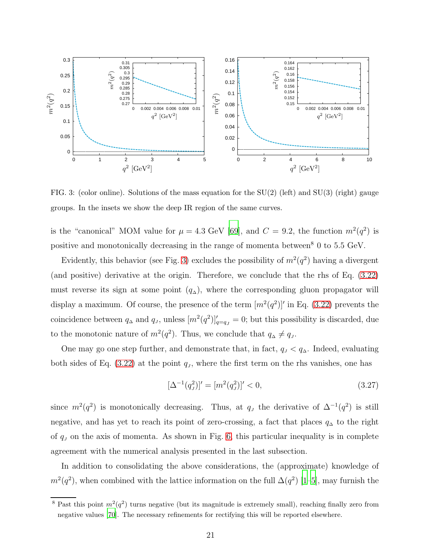

<span id="page-20-0"></span>FIG. 3: (color online). Solutions of the mass equation for the  $SU(2)$  (left) and  $SU(3)$  (right) gauge groups. In the insets we show the deep IR region of the same curves.

is the "canonical" MOM value for  $\mu = 4.3$  GeV [\[69\]](#page-41-15), and  $C = 9.2$ , the function  $m^2(q^2)$  is positive and monotonically decreasing in the range of momenta between<sup>8</sup> 0 to 5.5 GeV.

Evidently, this behavior (see Fig. [3\)](#page-20-0) excludes the possibility of  $m^2(q^2)$  having a divergent (and positive) derivative at the origin. Therefore, we conclude that the rhs of Eq. [\(3.22\)](#page-19-2) must reverse its sign at some point  $(q_0)$ , where the corresponding gluon propagator will display a maximum. Of course, the presence of the term  $[m^2(q^2)]'$  in Eq. [\(3.22\)](#page-19-2) prevents the coincidence between  $q_{\Delta}$  and  $q_{J}$ , unless  $[m^{2}(q^{2})]_{q=q_{J}}' = 0$ ; but this possibility is discarded, due to the monotonic nature of  $m^2(q^2)$ . Thus, we conclude that  $q_{\Delta} \neq q_J$ .

One may go one step further, and demonstrate that, in fact,  $q_J < q_\Delta$ . Indeed, evaluating both sides of Eq.  $(3.22)$  at the point  $q<sub>J</sub>$ , where the first term on the rhs vanishes, one has

<span id="page-20-1"></span>
$$
[\Delta^{-1}(q_J^2)]' = [m^2(q_J^2)]' < 0,\tag{3.27}
$$

since  $m^2(q^2)$  is monotonically decreasing. Thus, at  $q<sub>J</sub>$  the derivative of  $\Delta^{-1}(q^2)$  is still negative, and has yet to reach its point of zero-crossing, a fact that places  $q_{\Delta}$  to the right of  $q_J$  on the axis of momenta. As shown in Fig. [6,](#page-26-0) this particular inequality is in complete agreement with the numerical analysis presented in the last subsection.

In addition to consolidating the above considerations, the (approximate) knowledge of  $m^2(q^2)$ , when combined with the lattice information on the full  $\Delta(q^2)$  [\[1](#page-39-0)[–5](#page-39-1)], may furnish the

<sup>&</sup>lt;sup>8</sup> Past this point  $m^2(q^2)$  turns negative (but its magnitude is extremely small), reaching finally zero from negative values [\[70\]](#page-41-16). The necessary refinements for rectifying this will be reported elsewhere.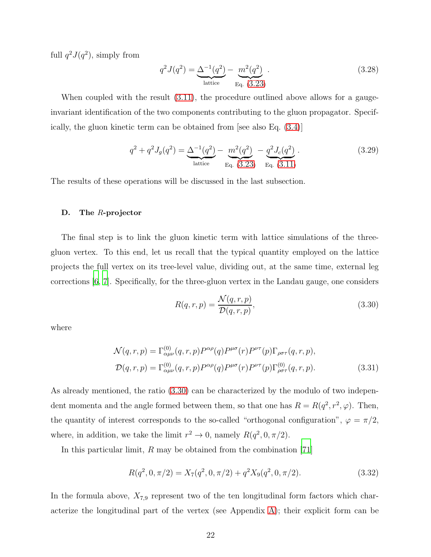full  $q^2J(q^2)$ , simply from

<span id="page-21-2"></span>
$$
q^{2} J(q^{2}) = \underbrace{\Delta^{-1}(q^{2})}_{\text{lattice}} - \underbrace{m^{2}(q^{2})}_{\text{Eq. (3.23)}}.
$$
\n(3.28)

When coupled with the result  $(3.11)$ , the procedure outlined above allows for a gaugeinvariant identification of the two components contributing to the gluon propagator. Specifically, the gluon kinetic term can be obtained from [see also Eq. [\(3.4\)](#page-14-0)]

$$
q^{2} + q^{2} J_{g}(q^{2}) = \underbrace{\Delta^{-1}(q^{2})}_{\text{lattice}} - \underbrace{m^{2}(q^{2})}_{\text{Eq. (3.23)}} - \underbrace{q^{2} J_{c}(q^{2})}_{\text{Eq. (3.11)}}.
$$
\n(3.29)

The results of these operations will be discussed in the last subsection.

# D. The R-projector

The final step is to link the gluon kinetic term with lattice simulations of the threegluon vertex. To this end, let us recall that the typical quantity employed on the lattice projects the full vertex on its tree-level value, dividing out, at the same time, external leg corrections [\[6,](#page-39-2) [7](#page-39-3)]. Specifically, for the three-gluon vertex in the Landau gauge, one considers

<span id="page-21-0"></span>
$$
R(q,r,p) = \frac{\mathcal{N}(q,r,p)}{\mathcal{D}(q,r,p)},
$$
\n(3.30)

where

$$
\mathcal{N}(q,r,p) = \Gamma^{(0)}_{\alpha\mu\nu}(q,r,p) P^{\alpha\rho}(q) P^{\mu\sigma}(r) P^{\nu\tau}(p) \Gamma_{\rho\sigma\tau}(q,r,p),
$$
  

$$
\mathcal{D}(q,r,p) = \Gamma^{(0)}_{\alpha\mu\nu}(q,r,p) P^{\alpha\rho}(q) P^{\mu\sigma}(r) P^{\nu\tau}(p) \Gamma^{(0)}_{\rho\sigma\tau}(q,r,p).
$$
(3.31)

As already mentioned, the ratio [\(3.30\)](#page-21-0) can be characterized by the modulo of two independent momenta and the angle formed between them, so that one has  $R = R(q^2, r^2, \varphi)$ . Then, the quantity of interest corresponds to the so-called "orthogonal configuration",  $\varphi = \pi/2$ , where, in addition, we take the limit  $r^2 \to 0$ , namely  $R(q^2, 0, \pi/2)$ .

In this particular limit, R may be obtained from the combination [\[71](#page-41-17)]

<span id="page-21-1"></span>
$$
R(q^2, 0, \pi/2) = X_7(q^2, 0, \pi/2) + q^2 X_9(q^2, 0, \pi/2).
$$
\n(3.32)

In the formula above,  $X_{7,9}$  represent two of the ten longitudinal form factors which characterize the longitudinal part of the vertex (see Appendix [A\)](#page-34-1); their explicit form can be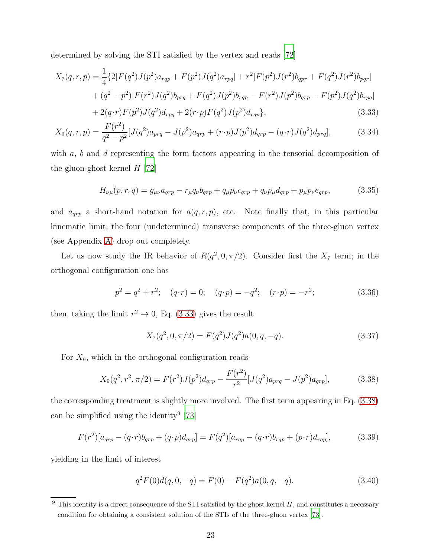determined by solving the STI satisfied by the vertex and reads [\[72](#page-41-18)]

$$
X_7(q,r,p) = \frac{1}{4} \{ 2[F(q^2)J(p^2)a_{rqp} + F(p^2)J(q^2)a_{rpq}] + r^2 [F(p^2)J(r^2)b_{qpr} + F(q^2)J(r^2)b_{pqr}]
$$
  
+  $(q^2 - p^2)[F(r^2)J(q^2)b_{prq} + F(q^2)J(p^2)b_{rqp} - F(r^2)J(p^2)b_{qrp} - F(p^2)J(q^2)b_{rpq}]$   
+  $2(q \cdot r)F(p^2)J(q^2)d_{rpq} + 2(r \cdot p)F(q^2)J(p^2)d_{rqp}$  (3.33)

$$
X_9(q,r,p) = \frac{F(r^2)}{q^2 - p^2} [J(q^2)a_{prq} - J(p^2)a_{qrp} + (r \cdot p)J(p^2)d_{qrp} - (q \cdot r)J(q^2)d_{prq}], \qquad (3.34)
$$

with  $a, b$  and  $d$  representing the form factors appearing in the tensorial decomposition of the gluon-ghost kernel  $H$  [\[72](#page-41-18)]

<span id="page-22-5"></span><span id="page-22-2"></span><span id="page-22-0"></span>
$$
H_{\nu\mu}(p,r,q) = g_{\mu\nu}a_{qrp} - r_{\mu}q_{\nu}b_{qrp} + q_{\mu}p_{\nu}c_{qrp} + q_{\nu}p_{\mu}d_{qrp} + p_{\mu}p_{\nu}e_{qrp},
$$
(3.35)

and  $a_{qrp}$  a short-hand notation for  $a(q, r, p)$ , etc. Note finally that, in this particular kinematic limit, the four (undetermined) transverse components of the three-gluon vertex (see Appendix [A\)](#page-34-1) drop out completely.

Let us now study the IR behavior of  $R(q^2, 0, \pi/2)$ . Consider first the  $X_7$  term; in the orthogonal configuration one has

$$
p^{2} = q^{2} + r^{2}; \quad (q \cdot r) = 0; \quad (q \cdot p) = -q^{2}; \quad (r \cdot p) = -r^{2}; \tag{3.36}
$$

then, taking the limit  $r^2 \to 0$ , Eq. [\(3.33\)](#page-22-2) gives the result

<span id="page-22-4"></span>
$$
X_7(q^2, 0, \pi/2) = F(q^2)J(q^2)a(0, q, -q).
$$
\n(3.37)

For  $X_9$ , which in the orthogonal configuration reads

<span id="page-22-3"></span>
$$
X_9(q^2, r^2, \pi/2) = F(r^2)J(p^2)d_{qrp} - \frac{F(r^2)}{r^2}[J(q^2)a_{prq} - J(p^2)a_{qrp}], \qquad (3.38)
$$

the corresponding treatment is slightly more involved. The first term appearing in Eq. [\(3.38\)](#page-22-3) can be simplified using the identity<sup>9</sup> [\[73\]](#page-41-19)

$$
F(r^{2})[a_{qrp} - (q \cdot r)b_{qrp} + (q \cdot p)d_{qrp}] = F(q^{2})[a_{rqp} - (q \cdot r)b_{rqp} + (p \cdot r)d_{rqp}], \qquad (3.39)
$$

yielding in the limit of interest

<span id="page-22-1"></span>
$$
q^{2}F(0)d(q,0,-q) = F(0) - F(q^{2})a(0,q,-q).
$$
\n(3.40)

 $9$  This identity is a direct consequence of the STI satisfied by the ghost kernel H, and constitutes a necessary condition for obtaining a consistent solution of the STIs of the three-gluon vertex [\[73\]](#page-41-19).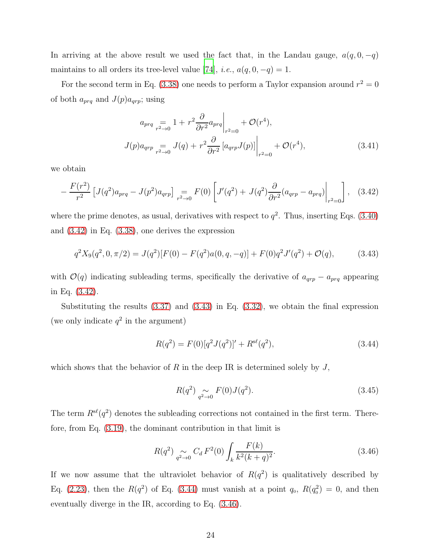In arriving at the above result we used the fact that, in the Landau gauge,  $a(q, 0, -q)$ maintains to all orders its tree-level value [\[74](#page-41-20)], *i.e.*,  $a(q, 0, -q) = 1$ .

For the second term in Eq. [\(3.38\)](#page-22-3) one needs to perform a Taylor expansion around  $r^2 = 0$ of both  $a_{prq}$  and  $J(p)a_{qrp}$ ; using

$$
a_{prq} = 1 + r^2 \frac{\partial}{\partial r^2} a_{prq} \Big|_{r^2=0} + \mathcal{O}(r^4),
$$
  

$$
J(p)a_{qrp} = J(q) + r^2 \frac{\partial}{\partial r^2} \left[ a_{qrp} J(p) \right] \Big|_{r^2=0} + \mathcal{O}(r^4),
$$
 (3.41)

we obtain

<span id="page-23-0"></span>
$$
-\frac{F(r^2)}{r^2} \left[ J(q^2) a_{prq} - J(p^2) a_{qrp} \right]_{r^2 \to 0} = F(0) \left[ J'(q^2) + J(q^2) \frac{\partial}{\partial r^2} (a_{qrp} - a_{prq}) \Big|_{r^2 = 0} \right], \quad (3.42)
$$

where the prime denotes, as usual, derivatives with respect to  $q^2$ . Thus, inserting Eqs. [\(3.40\)](#page-22-1) and [\(3.42\)](#page-23-0) in Eq. [\(3.38\)](#page-22-3), one derives the expression

<span id="page-23-1"></span>
$$
q^{2}X_{9}(q^{2},0,\pi/2) = J(q^{2})[F(0) - F(q^{2})a(0,q,-q)] + F(0)q^{2}J'(q^{2}) + \mathcal{O}(q), \qquad (3.43)
$$

with  $\mathcal{O}(q)$  indicating subleading terms, specifically the derivative of  $a_{qrp} - a_{prq}$  appearing in Eq. [\(3.42\)](#page-23-0).

Substituting the results [\(3.37\)](#page-22-4) and [\(3.43\)](#page-23-1) in Eq. [\(3.32\)](#page-21-1), we obtain the final expression (we only indicate  $q^2$  in the argument)

<span id="page-23-2"></span>
$$
R(q^2) = F(0)[q^2 J(q^2)]' + R^{s\ell}(q^2),
$$
\n(3.44)

which shows that the behavior of R in the deep IR is determined solely by  $J$ ,

$$
R(q^2) \underset{q^2 \to 0}{\sim} F(0)J(q^2). \tag{3.45}
$$

The term  $R^{s\ell}(q^2)$  denotes the subleading corrections not contained in the first term. Therefore, from Eq. [\(3.19\)](#page-18-2), the dominant contribution in that limit is

<span id="page-23-3"></span>
$$
R(q^2) \underset{q^2 \to 0}{\sim} C_d F^2(0) \int_k \frac{F(k)}{k^2 (k+q)^2}.
$$
 (3.46)

If we now assume that the ultraviolet behavior of  $R(q^2)$  is qualitatively described by Eq. [\(2.23\)](#page-11-0), then the  $R(q^2)$  of Eq. [\(3.44\)](#page-23-2) must vanish at a point  $q_0$ ,  $R(q_0^2) = 0$ , and then eventually diverge in the IR, according to Eq. [\(3.46\)](#page-23-3).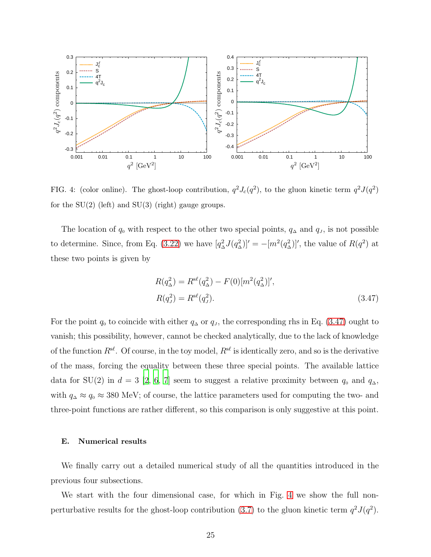

<span id="page-24-1"></span>FIG. 4: (color online). The ghost-loop contribution,  $q^2 J_c(q^2)$ , to the gluon kinetic term  $q^2 J(q^2)$ for the  $SU(2)$  (left) and  $SU(3)$  (right) gauge groups.

The location of  $q_0$  with respect to the other two special points,  $q_\Delta$  and  $q_J$ , is not possible to determine. Since, from Eq. [\(3.22\)](#page-19-2) we have  $[q_{\Delta}^2 J(q_{\Delta}^2)]' = -[m^2(q_{\Delta}^2)]'$ , the value of  $R(q^2)$  at these two points is given by

<span id="page-24-0"></span>
$$
R(q_{\Delta}^{2}) = R^{\rm sf}(q_{\Delta}^{2}) - F(0)[m^{2}(q_{\Delta}^{2})]',
$$
  
\n
$$
R(q_{J}^{2}) = R^{\rm sf}(q_{J}^{2}).
$$
\n(3.47)

For the point  $q_0$  to coincide with either  $q_\Delta$  or  $q_J$ , the corresponding rhs in Eq. [\(3.47\)](#page-24-0) ought to vanish; this possibility, however, cannot be checked analytically, due to the lack of knowledge of the function  $R^{\mathsf{sf}}$ . Of course, in the toy model,  $R^{\mathsf{sf}}$  is identically zero, and so is the derivative of the mass, forcing the equality between these three special points. The available lattice data for SU(2) in  $d = 3$  [\[2](#page-39-5), [6](#page-39-2), [7\]](#page-39-3) seem to suggest a relative proximity between  $q_0$  and  $q_\Delta$ , with  $q_{\Delta} \approx q_0 \approx 380$  MeV; of course, the lattice parameters used for computing the two- and three-point functions are rather different, so this comparison is only suggestive at this point.

# E. Numerical results

We finally carry out a detailed numerical study of all the quantities introduced in the previous four subsections.

We start with the four dimensional case, for which in Fig. [4](#page-24-1) we show the full non-perturbative results for the ghost-loop contribution [\(3.7\)](#page-15-0) to the gluon kinetic term  $q^2J(q^2)$ .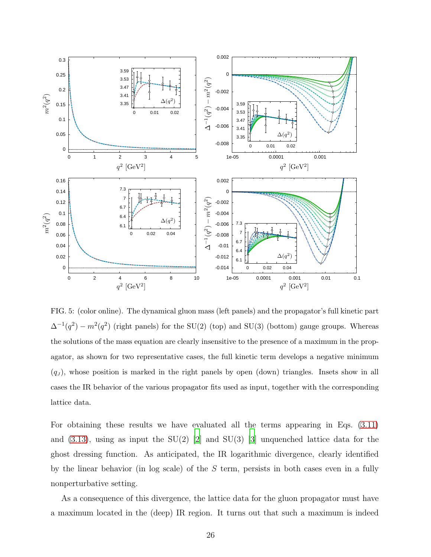

<span id="page-25-0"></span>FIG. 5: (color online). The dynamical gluon mass (left panels) and the propagator's full kinetic part  $\Delta^{-1}(q^2) - m^2(q^2)$  (right panels) for the SU(2) (top) and SU(3) (bottom) gauge groups. Whereas the solutions of the mass equation are clearly insensitive to the presence of a maximum in the propagator, as shown for two representative cases, the full kinetic term develops a negative minimum  $(q_J)$ , whose position is marked in the right panels by open (down) triangles. Insets show in all cases the IR behavior of the various propagator fits used as input, together with the corresponding lattice data.

For obtaining these results we have evaluated all the terms appearing in Eqs. [\(3.11\)](#page-16-2) and  $(3.13)$ , using as input the SU(2) [\[2\]](#page-39-5) and SU(3) [\[3\]](#page-39-8) unquenched lattice data for the ghost dressing function. As anticipated, the IR logarithmic divergence, clearly identified by the linear behavior (in log scale) of the  $S$  term, persists in both cases even in a fully nonperturbative setting.

As a consequence of this divergence, the lattice data for the gluon propagator must have a maximum located in the (deep) IR region. It turns out that such a maximum is indeed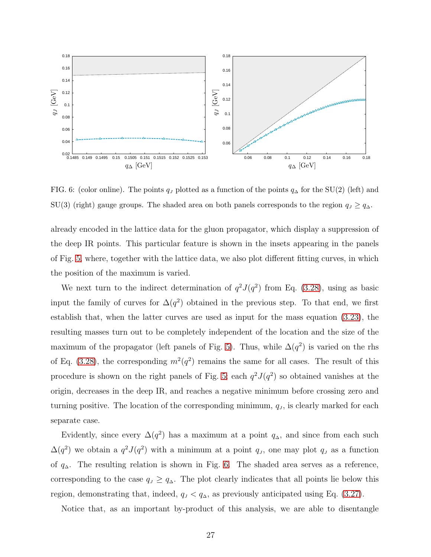

<span id="page-26-0"></span>FIG. 6: (color online). The points  $q_J$  plotted as a function of the points  $q_\Delta$  for the SU(2) (left) and SU(3) (right) gauge groups. The shaded area on both panels corresponds to the region  $q_J \geq q_\Delta$ .

already encoded in the lattice data for the gluon propagator, which display a suppression of the deep IR points. This particular feature is shown in the insets appearing in the panels of Fig. [5,](#page-25-0) where, together with the lattice data, we also plot different fitting curves, in which the position of the maximum is varied.

We next turn to the indirect determination of  $q^2J(q^2)$  from Eq. [\(3.28\)](#page-21-2), using as basic input the family of curves for  $\Delta(q^2)$  obtained in the previous step. To that end, we first establish that, when the latter curves are used as input for the mass equation [\(3.23\)](#page-19-1), the resulting masses turn out to be completely independent of the location and the size of the maximum of the propagator (left panels of Fig. [5\)](#page-25-0). Thus, while  $\Delta(q^2)$  is varied on the rhs of Eq. [\(3.28\)](#page-21-2), the corresponding  $m^2(q^2)$  remains the same for all cases. The result of this procedure is shown on the right panels of Fig. [5;](#page-25-0) each  $q^2J(q^2)$  so obtained vanishes at the origin, decreases in the deep IR, and reaches a negative minimum before crossing zero and turning positive. The location of the corresponding minimum,  $q<sub>J</sub>$ , is clearly marked for each separate case.

Evidently, since every  $\Delta(q^2)$  has a maximum at a point  $q_{\Delta}$ , and since from each such  $\Delta(q^2)$  we obtain a  $q^2J(q^2)$  with a minimum at a point  $q_J$ , one may plot  $q_J$  as a function of  $q_{\Delta}$ . The resulting relation is shown in Fig. [6.](#page-26-0) The shaded area serves as a reference, corresponding to the case  $q_J \geq q_\Delta$ . The plot clearly indicates that all points lie below this region, demonstrating that, indeed,  $q_J < q_\Delta$ , as previously anticipated using Eq. [\(3.27\)](#page-20-1).

Notice that, as an important by-product of this analysis, we are able to disentangle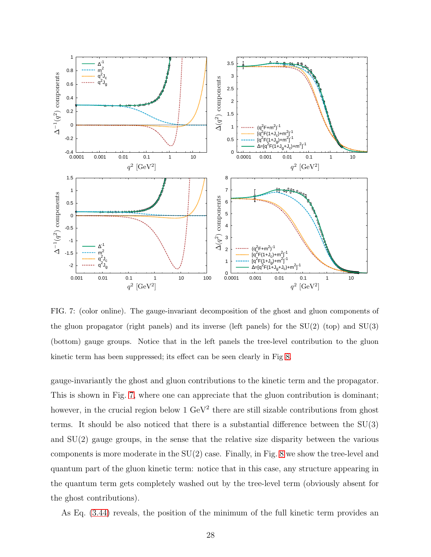

<span id="page-27-0"></span>FIG. 7: (color online). The gauge-invariant decomposition of the ghost and gluon components of the gluon propagator (right panels) and its inverse (left panels) for the  $SU(2)$  (top) and  $SU(3)$ (bottom) gauge groups. Notice that in the left panels the tree-level contribution to the gluon kinetic term has been suppressed; its effect can be seen clearly in Fig [8.](#page-28-0)

gauge-invariantly the ghost and gluon contributions to the kinetic term and the propagator. This is shown in Fig. [7,](#page-27-0) where one can appreciate that the gluon contribution is dominant; however, in the crucial region below 1 GeV<sup>2</sup> there are still sizable contributions from ghost terms. It should be also noticed that there is a substantial difference between the  $SU(3)$ and SU(2) gauge groups, in the sense that the relative size disparity between the various components is more moderate in the  $SU(2)$  case. Finally, in Fig. [8](#page-28-0) we show the tree-level and quantum part of the gluon kinetic term: notice that in this case, any structure appearing in the quantum term gets completely washed out by the tree-level term (obviously absent for the ghost contributions).

As Eq. [\(3.44\)](#page-23-2) reveals, the position of the minimum of the full kinetic term provides an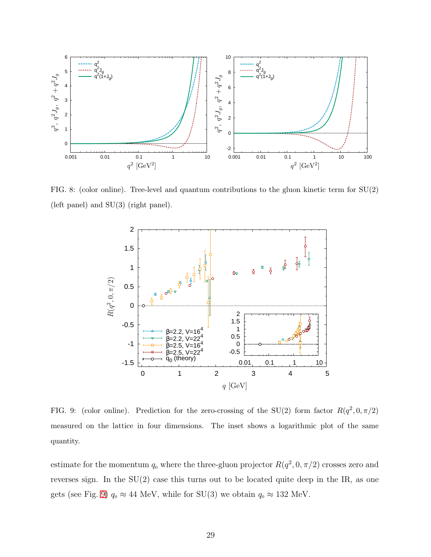

FIG. 8: (color online). Tree-level and quantum contributions to the gluon kinetic term for  $SU(2)$ (left panel) and SU(3) (right panel).

<span id="page-28-0"></span>

<span id="page-28-1"></span>FIG. 9: (color online). Prediction for the zero-crossing of the SU(2) form factor  $R(q^2,0,\pi/2)$ measured on the lattice in four dimensions. The inset shows a logarithmic plot of the same quantity.

estimate for the momentum  $q_0$  where the three-gluon projector  $R(q^2, 0, \pi/2)$  crosses zero and reverses sign. In the  $SU(2)$  case this turns out to be located quite deep in the IR, as one gets (see Fig. [9\)](#page-28-1)  $q_0 \approx 44$  MeV, while for SU(3) we obtain  $q_0 \approx 132$  MeV.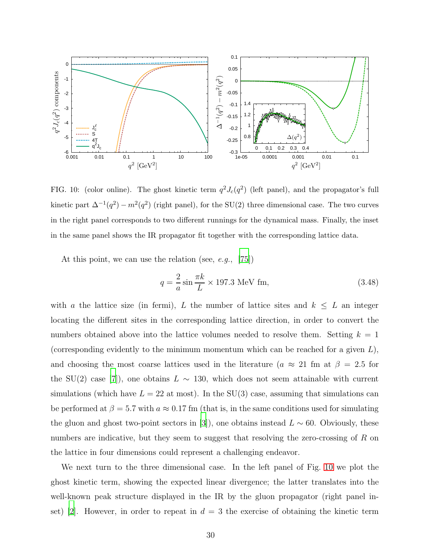

<span id="page-29-0"></span>FIG. 10: (color online). The ghost kinetic term  $q^2J_c(q^2)$  (left panel), and the propagator's full kinetic part  $\Delta^{-1}(q^2) - m^2(q^2)$  (right panel), for the SU(2) three dimensional case. The two curves in the right panel corresponds to two different runnings for the dynamical mass. Finally, the inset in the same panel shows the IR propagator fit together with the corresponding lattice data.

At this point, we can use the relation (see, e.g., [\[75](#page-42-0)])

$$
q = \frac{2}{a}\sin\frac{\pi k}{L} \times 197.3 \text{ MeV fm},\tag{3.48}
$$

with a the lattice size (in fermi), L the number of lattice sites and  $k \leq L$  an integer locating the different sites in the corresponding lattice direction, in order to convert the numbers obtained above into the lattice volumes needed to resolve them. Setting  $k = 1$ (corresponding evidently to the minimum momentum which can be reached for a given  $L$ ), and choosing the most coarse lattices used in the literature ( $a \approx 21$  fm at  $\beta = 2.5$  for the SU(2) case [\[7](#page-39-3)]), one obtains  $L \sim 130$ , which does not seem attainable with current simulations (which have  $L = 22$  at most). In the SU(3) case, assuming that simulations can be performed at  $\beta = 5.7$  with  $a \approx 0.17$  fm (that is, in the same conditions used for simulating the gluon and ghost two-point sectors in [\[3](#page-39-8)]), one obtains instead  $L \sim 60$ . Obviously, these numbers are indicative, but they seem to suggest that resolving the zero-crossing of R on the lattice in four dimensions could represent a challenging endeavor.

We next turn to the three dimensional case. In the left panel of Fig. [10](#page-29-0) we plot the ghost kinetic term, showing the expected linear divergence; the latter translates into the well-known peak structure displayed in the IR by the gluon propagator (right panel in-set) [\[2](#page-39-5)]. However, in order to repeat in  $d = 3$  the exercise of obtaining the kinetic term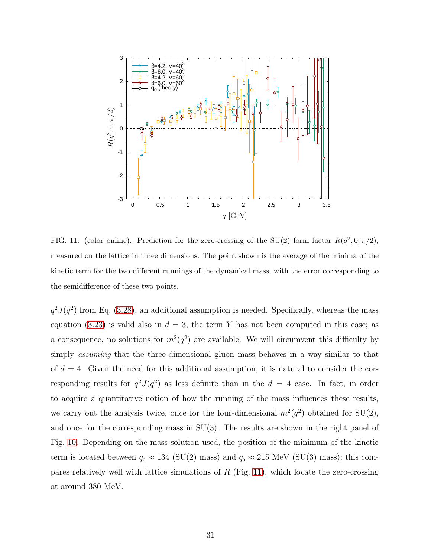

<span id="page-30-0"></span>FIG. 11: (color online). Prediction for the zero-crossing of the SU(2) form factor  $R(q^2, 0, \pi/2)$ , measured on the lattice in three dimensions. The point shown is the average of the minima of the kinetic term for the two different runnings of the dynamical mass, with the error corresponding to the semidifference of these two points.

 $q^2J(q^2)$  from Eq. [\(3.28\)](#page-21-2), an additional assumption is needed. Specifically, whereas the mass equation [\(3.23\)](#page-19-1) is valid also in  $d = 3$ , the term Y has not been computed in this case; as a consequence, no solutions for  $m^2(q^2)$  are available. We will circumvent this difficulty by simply assuming that the three-dimensional gluon mass behaves in a way similar to that of  $d = 4$ . Given the need for this additional assumption, it is natural to consider the corresponding results for  $q^2J(q^2)$  as less definite than in the  $d = 4$  case. In fact, in order to acquire a quantitative notion of how the running of the mass influences these results, we carry out the analysis twice, once for the four-dimensional  $m^2(q^2)$  obtained for  $SU(2)$ , and once for the corresponding mass in  $SU(3)$ . The results are shown in the right panel of Fig. [10.](#page-29-0) Depending on the mass solution used, the position of the minimum of the kinetic term is located between  $q_0 \approx 134$  (SU(2) mass) and  $q_0 \approx 215$  MeV (SU(3) mass); this compares relatively well with lattice simulations of  $R$  (Fig. [11\)](#page-30-0), which locate the zero-crossing at around 380 MeV.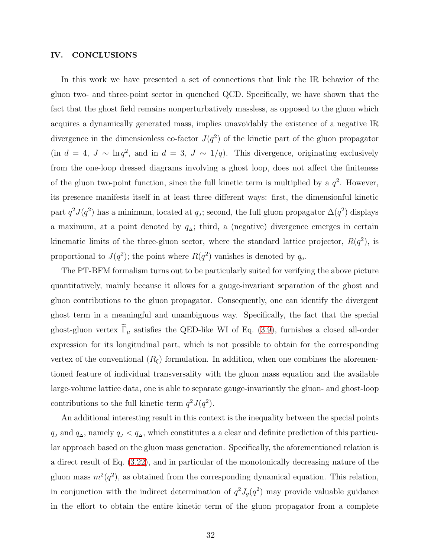## <span id="page-31-0"></span>IV. CONCLUSIONS

In this work we have presented a set of connections that link the IR behavior of the gluon two- and three-point sector in quenched QCD. Specifically, we have shown that the fact that the ghost field remains nonperturbatively massless, as opposed to the gluon which acquires a dynamically generated mass, implies unavoidably the existence of a negative IR divergence in the dimensionless co-factor  $J(q^2)$  of the kinetic part of the gluon propagator (in  $d = 4$ ,  $J \sim \ln q^2$ , and in  $d = 3$ ,  $J \sim 1/q$ ). This divergence, originating exclusively from the one-loop dressed diagrams involving a ghost loop, does not affect the finiteness of the gluon two-point function, since the full kinetic term is multiplied by a  $q^2$ . However, its presence manifests itself in at least three different ways: first, the dimensionful kinetic part  $q^2J(q^2)$  has a minimum, located at  $q_J$ ; second, the full gluon propagator  $\Delta(q^2)$  displays a maximum, at a point denoted by  $q_$ triangle; third, a (negative) divergence emerges in certain kinematic limits of the three-gluon sector, where the standard lattice projector,  $R(q^2)$ , is proportional to  $J(q^2)$ ; the point where  $R(q^2)$  vanishes is denoted by  $q_0$ .

The PT-BFM formalism turns out to be particularly suited for verifying the above picture quantitatively, mainly because it allows for a gauge-invariant separation of the ghost and gluon contributions to the gluon propagator. Consequently, one can identify the divergent ghost term in a meaningful and unambiguous way. Specifically, the fact that the special ghost-gluon vertex  $\widetilde{\Gamma}_{\mu}$  satisfies the QED-like WI of Eq. [\(3.9\)](#page-16-4), furnishes a closed all-order expression for its longitudinal part, which is not possible to obtain for the corresponding vertex of the conventional  $(R_{\xi})$  formulation. In addition, when one combines the aforementioned feature of individual transversality with the gluon mass equation and the available large-volume lattice data, one is able to separate gauge-invariantly the gluon- and ghost-loop contributions to the full kinetic term  $q^2 J(q^2)$ .

An additional interesting result in this context is the inequality between the special points  $q_J$  and  $q_\Delta$ , namely  $q_J < q_\Delta$ , which constitutes a a clear and definite prediction of this particular approach based on the gluon mass generation. Specifically, the aforementioned relation is a direct result of Eq. [\(3.22\)](#page-19-2), and in particular of the monotonically decreasing nature of the gluon mass  $m^2(q^2)$ , as obtained from the corresponding dynamical equation. This relation, in conjunction with the indirect determination of  $q^2 J_g(q^2)$  may provide valuable guidance in the effort to obtain the entire kinetic term of the gluon propagator from a complete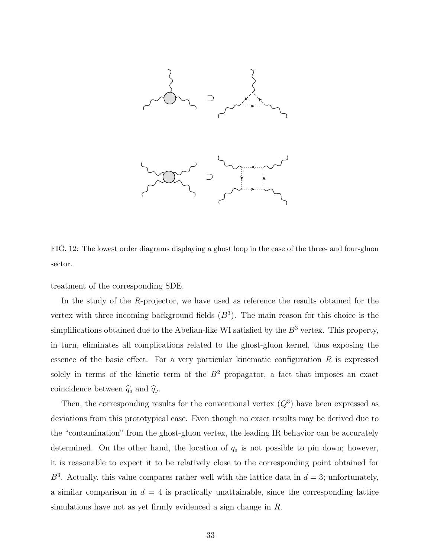

<span id="page-32-0"></span>FIG. 12: The lowest order diagrams displaying a ghost loop in the case of the three- and four-gluon sector.

treatment of the corresponding SDE.

In the study of the R-projector, we have used as reference the results obtained for the vertex with three incoming background fields  $(B^3)$ . The main reason for this choice is the simplifications obtained due to the Abelian-like WI satisfied by the  $B^3$  vertex. This property, in turn, eliminates all complications related to the ghost-gluon kernel, thus exposing the essence of the basic effect. For a very particular kinematic configuration  $R$  is expressed solely in terms of the kinetic term of the  $B<sup>2</sup>$  propagator, a fact that imposes an exact coincidence between  $\hat{q}_0$  and  $\hat{q}_J$ .

Then, the corresponding results for the conventional vertex  $(Q^3)$  have been expressed as deviations from this prototypical case. Even though no exact results may be derived due to the "contamination" from the ghost-gluon vertex, the leading IR behavior can be accurately determined. On the other hand, the location of  $q_0$  is not possible to pin down; however, it is reasonable to expect it to be relatively close to the corresponding point obtained for  $B^3$ . Actually, this value compares rather well with the lattice data in  $d=3$ ; unfortunately, a similar comparison in  $d = 4$  is practically unattainable, since the corresponding lattice simulations have not as yet firmly evidenced a sign change in R.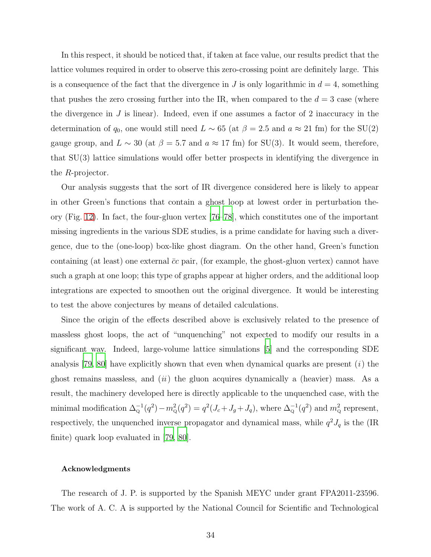In this respect, it should be noticed that, if taken at face value, our results predict that the lattice volumes required in order to observe this zero-crossing point are definitely large. This is a consequence of the fact that the divergence in J is only logarithmic in  $d = 4$ , something that pushes the zero crossing further into the IR, when compared to the  $d = 3$  case (where the divergence in  $J$  is linear). Indeed, even if one assumes a factor of 2 inaccuracy in the determination of  $q_0$ , one would still need  $L \sim 65$  (at  $\beta = 2.5$  and  $a \approx 21$  fm) for the SU(2) gauge group, and  $L \sim 30$  (at  $\beta = 5.7$  and  $a \approx 17$  fm) for SU(3). It would seem, therefore, that SU(3) lattice simulations would offer better prospects in identifying the divergence in the R-projector.

Our analysis suggests that the sort of IR divergence considered here is likely to appear in other Green's functions that contain a ghost loop at lowest order in perturbation theory (Fig. [12\)](#page-32-0). In fact, the four-gluon vertex [\[76](#page-42-1)[–78\]](#page-42-2), which constitutes one of the important missing ingredients in the various SDE studies, is a prime candidate for having such a divergence, due to the (one-loop) box-like ghost diagram. On the other hand, Green's function containing (at least) one external  $\bar{c}c$  pair, (for example, the ghost-gluon vertex) cannot have such a graph at one loop; this type of graphs appear at higher orders, and the additional loop integrations are expected to smoothen out the original divergence. It would be interesting to test the above conjectures by means of detailed calculations.

Since the origin of the effects described above is exclusively related to the presence of massless ghost loops, the act of "unquenching" not expected to modify our results in a significant way. Indeed, large-volume lattice simulations [\[5\]](#page-39-1) and the corresponding SDE analysis [\[79,](#page-42-3) [80](#page-42-4)] have explicitly shown that even when dynamical quarks are present  $(i)$  the ghost remains massless, and  $(ii)$  the gluon acquires dynamically a (heavier) mass. As a result, the machinery developed here is directly applicable to the unquenched case, with the minimal modification  $\Delta_{\mathbf{Q}}^{-1}(q^2) - m_{\mathbf{Q}}^2(q^2) = q^2(J_c + J_g + J_q)$ , where  $\Delta_{\mathbf{Q}}^{-1}(q^2)$  and  $m_{\mathbf{Q}}^2$  represent, respectively, the unquenched inverse propagator and dynamical mass, while  $q^2 J_q$  is the (IR finite) quark loop evaluated in [\[79](#page-42-3), [80](#page-42-4)].

#### Acknowledgments

The research of J. P. is supported by the Spanish MEYC under grant FPA2011-23596. The work of A. C. A is supported by the National Council for Scientific and Technological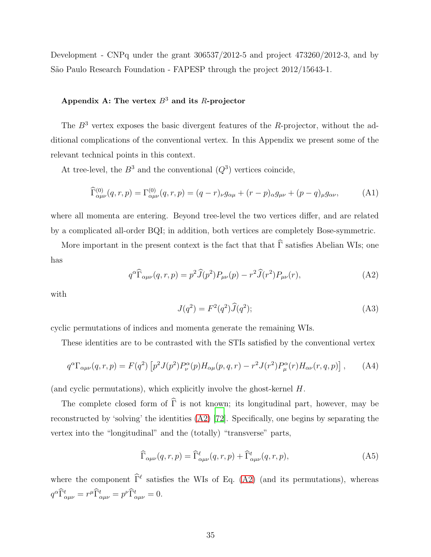Development - CNPq under the grant 306537/2012-5 and project 473260/2012-3, and by São Paulo Research Foundation - FAPESP through the project  $2012/15643$ -1.

# <span id="page-34-1"></span>Appendix A: The vertex  $B^3$  and its R-projector

The  $B<sup>3</sup>$  vertex exposes the basic divergent features of the R-projector, without the additional complications of the conventional vertex. In this Appendix we present some of the relevant technical points in this context.

At tree-level, the  $B^3$  and the conventional  $(Q^3)$  vertices coincide,

$$
\widehat{\Gamma}^{(0)}_{\alpha\mu\nu}(q,r,p) = \Gamma^{(0)}_{\alpha\mu\nu}(q,r,p) = (q-r)_{\nu}g_{\alpha\mu} + (r-p)_{\alpha}g_{\mu\nu} + (p-q)_{\mu}g_{\alpha\nu},\tag{A1}
$$

where all momenta are entering. Beyond tree-level the two vertices differ, and are related by a complicated all-order BQI; in addition, both vertices are completely Bose-symmetric.

More important in the present context is the fact that that  $\hat{\Gamma}$  satisfies Abelian WIs; one has

<span id="page-34-2"></span>
$$
q^{\alpha}\widehat{\Gamma}_{\alpha\mu\nu}(q,r,p) = p^2\widehat{J}(p^2)P_{\mu\nu}(p) - r^2\widehat{J}(r^2)P_{\mu\nu}(r),\tag{A2}
$$

with

<span id="page-34-0"></span>
$$
J(q^2) = F^2(q^2)\widehat{J}(q^2); \tag{A3}
$$

cyclic permutations of indices and momenta generate the remaining WIs.

These identities are to be contrasted with the STIs satisfied by the conventional vertex

<span id="page-34-3"></span>
$$
q^{\alpha}\Gamma_{\alpha\mu\nu}(q,r,p) = F(q^2) \left[ p^2 J(p^2) P^{\alpha}_{\nu}(p) H_{\alpha\mu}(p,q,r) - r^2 J(r^2) P^{\alpha}_{\mu}(r) H_{\alpha\nu}(r,q,p) \right], \tag{A4}
$$

(and cyclic permutations), which explicitly involve the ghost-kernel H.

The complete closed form of  $\widehat{\Gamma}$  is not known; its longitudinal part, however, may be reconstructed by 'solving' the identities [\(A2\)](#page-34-2) [\[72](#page-41-18)]. Specifically, one begins by separating the vertex into the "longitudinal" and the (totally) "transverse" parts,

$$
\widehat{\Gamma}_{\alpha\mu\nu}(q,r,p) = \widehat{\Gamma}_{\alpha\mu\nu}^{\ell}(q,r,p) + \widehat{\Gamma}_{\alpha\mu\nu}^{\ell}(q,r,p), \tag{A5}
$$

where the component  $\tilde{\Gamma}^{\ell}$  satisfies the WIs of Eq. [\(A2\)](#page-34-2) (and its permutations), whereas  $q^{\alpha}\hat{\Gamma}_{\alpha\mu\nu}^{t}=r^{\mu}\hat{\Gamma}_{\alpha\mu\nu}^{t}=p^{\nu}\hat{\Gamma}_{\alpha\mu\nu}^{t}=0.$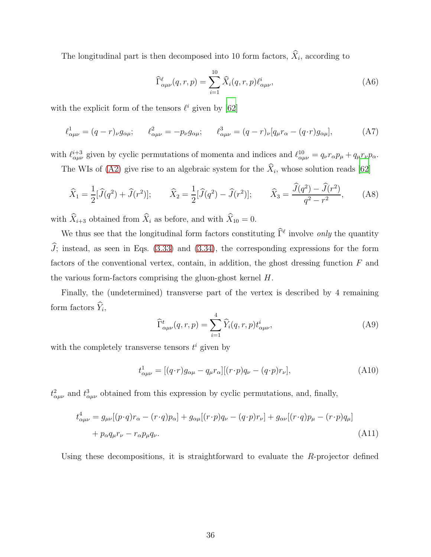The longitudinal part is then decomposed into 10 form factors,  $X_i$ , according to

$$
\widehat{\Gamma}^{\ell}_{\alpha\mu\nu}(q,r,p) = \sum_{i=1}^{10} \widehat{X}_i(q,r,p) \ell^{i}_{\alpha\mu\nu},
$$
\n(A6)

with the explicit form of the tensors  $\ell^i$  given by [\[62](#page-41-7)]

$$
\ell^1_{\alpha\mu\nu} = (q - r)_{\nu} g_{\alpha\mu}; \qquad \ell^2_{\alpha\mu\nu} = -p_{\nu} g_{\alpha\mu}; \qquad \ell^3_{\alpha\mu\nu} = (q - r)_{\nu} [q_{\mu} r_{\alpha} - (q \cdot r) g_{\alpha\mu}], \tag{A7}
$$

with  $\ell_{\alpha\mu\nu}^{i+3}$  given by cyclic permutations of momenta and indices and  $\ell_{\alpha\mu\nu}^{10} = q_{\nu}r_{\alpha}p_{\mu} + q_{\mu}r_{\nu}p_{\alpha}$ .

The WIs of [\(A2\)](#page-34-2) give rise to an algebraic system for the  $X_i$ , whose solution reads [\[62\]](#page-41-7)

$$
\widehat{X}_1 = \frac{1}{2} [\widehat{J}(q^2) + \widehat{J}(r^2)]; \qquad \widehat{X}_2 = \frac{1}{2} [\widehat{J}(q^2) - \widehat{J}(r^2)]; \qquad \widehat{X}_3 = \frac{\widehat{J}(q^2) - \widehat{J}(r^2)}{q^2 - r^2}, \qquad (A8)
$$

with  $\widehat{X}_{i+3}$  obtained from  $\widehat{X}_i$  as before, and with  $\widehat{X}_{10} = 0$ .

We thus see that the longitudinal form factors constituting  $\hat{\Gamma}^{\ell}$  involve *only* the quantity  $\widehat{J}$ ; instead, as seen in Eqs. [\(3.33\)](#page-22-2) and [\(3.34\)](#page-22-5), the corresponding expressions for the form factors of the conventional vertex, contain, in addition, the ghost dressing function  $F$  and the various form-factors comprising the gluon-ghost kernel H.

Finally, the (undetermined) transverse part of the vertex is described by 4 remaining form factors  $Y_i$ ,

$$
\widehat{\Gamma}^{t}_{\alpha\mu\nu}(q,r,p) = \sum_{i=1}^{4} \widehat{Y}_i(q,r,p) t^{i}_{\alpha\mu\nu},
$$
\n(A9)

with the completely transverse tensors  $t^i$  given by

$$
t^1_{\alpha\mu\nu} = [(q \cdot r)g_{\alpha\mu} - q_{\mu}r_{\alpha}][(r \cdot p)q_{\nu} - (q \cdot p)r_{\nu}], \qquad (A10)
$$

 $t^2_{\alpha\mu\nu}$  and  $t^3_{\alpha\mu\nu}$  obtained from this expression by cyclic permutations, and, finally,

$$
t_{\alpha\mu\nu}^4 = g_{\mu\nu}[(p \cdot q)r_{\alpha} - (r \cdot q)p_{\alpha}] + g_{\alpha\mu}[(r \cdot p)q_{\nu} - (q \cdot p)r_{\nu}] + g_{\alpha\nu}[(r \cdot q)p_{\mu} - (r \cdot p)q_{\mu}]
$$
  
+  $p_{\alpha}q_{\mu}r_{\nu} - r_{\alpha}p_{\mu}q_{\nu}.$  (A11)

Using these decompositions, it is straightforward to evaluate the R-projector defined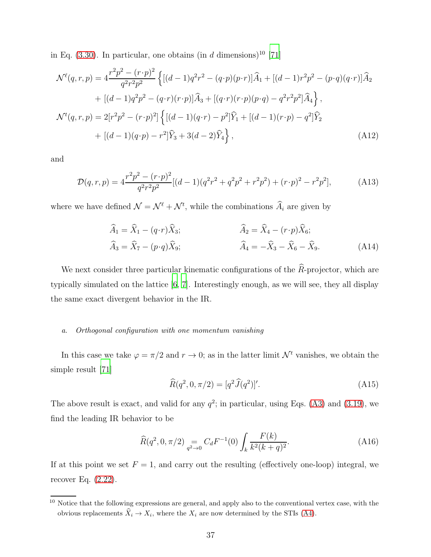in Eq.  $(3.30)$ . In particular, one obtains  $(in d \text{ dimensions})^{10}$  [\[71](#page-41-17)]

$$
\mathcal{N}^{\ell}(q,r,p) = 4 \frac{r^2 p^2 - (r \cdot p)^2}{q^2 r^2 p^2} \left\{ \left[ (d-1)q^2 r^2 - (q \cdot p)(p \cdot r) \right] \hat{A}_1 + \left[ (d-1) r^2 p^2 - (p \cdot q)(q \cdot r) \right] \hat{A}_2 \right.\n+ \left[ (d-1)q^2 p^2 - (q \cdot r)(r \cdot p) \right] \hat{A}_3 + \left[ (q \cdot r)(r \cdot p)(p \cdot q) - q^2 r^2 p^2 \right] \hat{A}_4 \right\},\n\mathcal{N}^{\ell}(q,r,p) = 2[r^2 p^2 - (r \cdot p)^2] \left\{ \left[ (d-1)(q \cdot r) - p^2 \right] \hat{Y}_1 + \left[ (d-1)(r \cdot p) - q^2 \right] \hat{Y}_2 \right.\n+ \left[ (d-1)(q \cdot p) - r^2 \right] \hat{Y}_3 + 3(d-2) \hat{Y}_4 \right\},\n(A12)
$$

and

$$
\mathcal{D}(q,r,p) = 4\frac{r^2p^2 - (r \cdot p)^2}{q^2r^2p^2} [(d-1)(q^2r^2 + q^2p^2 + r^2p^2) + (r \cdot p)^2 - r^2p^2],\tag{A13}
$$

where we have defined  $\mathcal{N} = \mathcal{N}^{\ell} + \mathcal{N}^{t}$ , while the combinations  $\hat{A}_i$  are given by

$$
\widehat{A}_1 = \widehat{X}_1 - (q \cdot r) \widehat{X}_3; \n\widehat{A}_2 = \widehat{X}_4 - (r \cdot p) \widehat{X}_6; \n\widehat{A}_3 = \widehat{X}_7 - (p \cdot q) \widehat{X}_9; \n\widehat{A}_4 = -\widehat{X}_3 - \widehat{X}_6 - \widehat{X}_9.
$$
\n(A14)

We next consider three particular kinematic configurations of the  $\widehat{R}$ -projector, which are typically simulated on the lattice [\[6,](#page-39-2) [7](#page-39-3)]. Interestingly enough, as we will see, they all display the same exact divergent behavior in the IR.

## a. Orthogonal configuration with one momentum vanishing

In this case we take  $\varphi = \pi/2$  and  $r \to 0$ ; as in the latter limit  $\mathcal{N}^t$  vanishes, we obtain the simple result [\[71\]](#page-41-17)

<span id="page-36-0"></span>
$$
\widehat{R}(q^2, 0, \pi/2) = [q^2 \widehat{J}(q^2)]'. \tag{A15}
$$

The above result is exact, and valid for any  $q^2$ ; in particular, using Eqs. [\(A3\)](#page-34-0) and [\(3.19\)](#page-18-2), we find the leading IR behavior to be

<span id="page-36-1"></span>
$$
\widehat{R}(q^2, 0, \pi/2) = C_d F^{-1}(0) \int_k \frac{F(k)}{k^2 (k+q)^2}.
$$
\n(A16)

If at this point we set  $F = 1$ , and carry out the resulting (effectively one-loop) integral, we recover Eq. [\(2.22\)](#page-10-1).

<sup>&</sup>lt;sup>10</sup> Notice that the following expressions are general, and apply also to the conventional vertex case, with the obvious replacements  $X_i \to X_i$ , where the  $X_i$  are now determined by the STIs [\(A4\)](#page-34-3).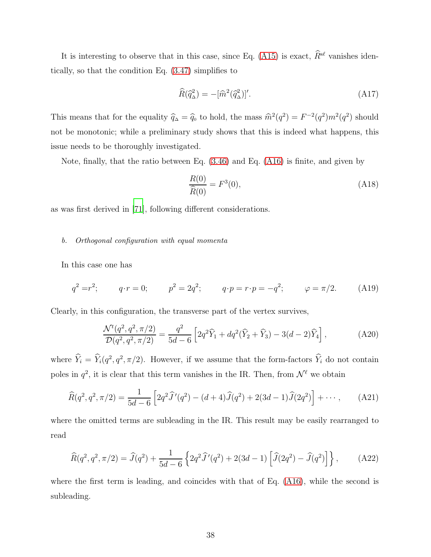It is interesting to observe that in this case, since Eq. [\(A15\)](#page-36-0) is exact,  $\widehat{R}^{s\ell}$  vanishes identically, so that the condition Eq. [\(3.47\)](#page-24-0) simplifies to

$$
\widehat{R}(\widehat{q}_{\Delta}^{2}) = -[\widehat{m}^{2}(\widehat{q}_{\Delta}^{2})]'. \tag{A17}
$$

This means that for the equality  $\hat{q}_{\Delta} = \hat{q}_{0}$  to hold, the mass  $\hat{m}^{2}(q^{2}) = F^{-2}(q^{2})m^{2}(q^{2})$  should not be monotonic; while a preliminary study shows that this is indeed what happens, this issue needs to be thoroughly investigated.

Note, finally, that the ratio between Eq. [\(3.46\)](#page-23-3) and Eq. [\(A16\)](#page-36-1) is finite, and given by

$$
\frac{R(0)}{\widehat{R}(0)} = F^3(0),\tag{A18}
$$

as was first derived in [\[71\]](#page-41-17), following different considerations.

# b. Orthogonal configuration with equal momenta

In this case one has

$$
q^2 = r^2;
$$
  $q \cdot r = 0;$   $p^2 = 2q^2;$   $q \cdot p = r \cdot p = -q^2;$   $\varphi = \pi/2.$  (A19)

Clearly, in this configuration, the transverse part of the vertex survives,

$$
\frac{\mathcal{N}^t(q^2, q^2, \pi/2)}{\mathcal{D}(q^2, q^2, \pi/2)} = \frac{q^2}{5d - 6} \left[ 2q^2 \widehat{Y}_1 + dq^2 (\widehat{Y}_2 + \widehat{Y}_3) - 3(d - 2)\widehat{Y}_4 \right],\tag{A20}
$$

where  $\hat{Y}_i = \hat{Y}_i(q^2, q^2, \pi/2)$ . However, if we assume that the form-factors  $\hat{Y}_i$  do not contain poles in  $q^2$ , it is clear that this term vanishes in the IR. Then, from  $\mathcal{N}^{\ell}$  we obtain

$$
\widehat{R}(q^2, q^2, \pi/2) = \frac{1}{5d - 6} \left[ 2q^2 \widehat{J}'(q^2) - (d + 4) \widehat{J}(q^2) + 2(3d - 1) \widehat{J}(2q^2) \right] + \cdots, \tag{A21}
$$

where the omitted terms are subleading in the IR. This result may be easily rearranged to read

$$
\widehat{R}(q^2, q^2, \pi/2) = \widehat{J}(q^2) + \frac{1}{5d - 6} \left\{ 2q^2 \widehat{J}'(q^2) + 2(3d - 1) \left[ \widehat{J}(2q^2) - \widehat{J}(q^2) \right] \right\},\tag{A22}
$$

where the first term is leading, and coincides with that of Eq. [\(A16\)](#page-36-1), while the second is subleading.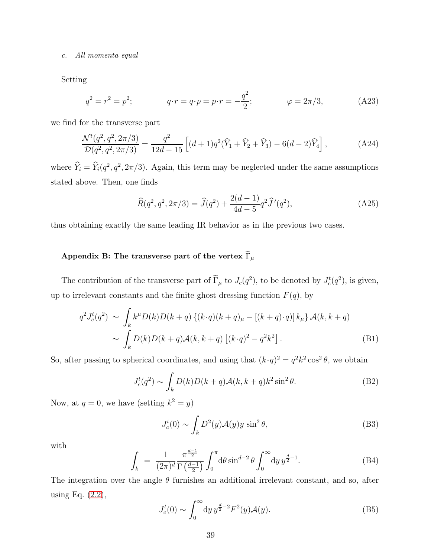#### c. All momenta equal

Setting

$$
q^2 = r^2 = p^2;
$$
  $q \cdot r = q \cdot p = p \cdot r = -\frac{q^2}{2};$   $\varphi = 2\pi/3,$  (A23)

we find for the transverse part

$$
\frac{\mathcal{N}^t(q^2, q^2, 2\pi/3)}{\mathcal{D}(q^2, q^2, 2\pi/3)} = \frac{q^2}{12d - 15} \left[ (d+1)q^2(\hat{Y}_1 + \hat{Y}_2 + \hat{Y}_3) - 6(d-2)\hat{Y}_4 \right],\tag{A24}
$$

where  $\hat{Y}_i = \hat{Y}_i(q^2, q^2, 2\pi/3)$ . Again, this term may be neglected under the same assumptions stated above. Then, one finds

$$
\widehat{R}(q^2, q^2, 2\pi/3) = \widehat{J}(q^2) + \frac{2(d-1)}{4d-5}q^2 \widehat{J}'(q^2),
$$
\n(A25)

thus obtaining exactly the same leading IR behavior as in the previous two cases.

# <span id="page-38-0"></span>Appendix B: The transverse part of the vertex  $\widetilde{\Gamma}_{\mu}$

The contribution of the transverse part of  $\Gamma_{\mu}$  to  $J_c(q^2)$ , to be denoted by  $J_c^t(q^2)$ , is given, up to irrelevant constants and the finite ghost dressing function  $F(q)$ , by

$$
q^{2}J_{c}^{t}(q^{2}) \sim \int_{k} k^{\mu}D(k)D(k+q)\left\{(k\cdot q)(k+q)_{\mu} - [(k+q)\cdot q)\right\}k_{\mu}\} \mathcal{A}(k,k+q)
$$

$$
\sim \int_{k} D(k)D(k+q)\mathcal{A}(k,k+q)\left[(k\cdot q)^{2} - q^{2}k^{2}\right]. \tag{B1}
$$

So, after passing to spherical coordinates, and using that  $(k \cdot q)^2 = q^2 k^2 \cos^2 \theta$ , we obtain

$$
J_c^t(q^2) \sim \int_k D(k)D(k+q)\mathcal{A}(k,k+q)k^2\sin^2\theta.
$$
 (B2)

Now, at  $q = 0$ , we have (setting  $k^2 = y$ )

$$
J_c^t(0) \sim \int_k D^2(y) \mathcal{A}(y) y \sin^2 \theta,
$$
 (B3)

with

<span id="page-38-1"></span>
$$
\int_{k} = \frac{1}{(2\pi)^{d}} \frac{\pi^{\frac{d-1}{2}}}{\Gamma(\frac{d-1}{2})} \int_{0}^{\pi} d\theta \sin^{d-2} \theta \int_{0}^{\infty} dy \, y^{\frac{d}{2}-1}.
$$
\n(B4)

The integration over the angle  $\theta$  furnishes an additional irrelevant constant, and so, after using Eq. [\(2.2\)](#page-3-3),

$$
J_c^t(0) \sim \int_0^\infty dy \, y^{\frac{d}{2}-2} F^2(y) \mathcal{A}(y). \tag{B5}
$$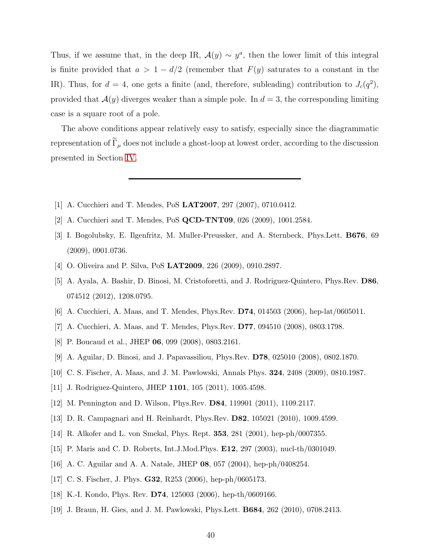Thus, if we assume that, in the deep IR,  $\mathcal{A}(y) \sim y^a$ , then the lower limit of this integral is finite provided that  $a > 1 - d/2$  (remember that  $F(y)$  saturates to a constant in the IR). Thus, for  $d = 4$ , one gets a finite (and, therefore, subleading) contribution to  $J_c(q^2)$ , provided that  $A(y)$  diverges weaker than a simple pole. In  $d = 3$ , the corresponding limiting case is a square root of a pole.

The above conditions appear relatively easy to satisfy, especially since the diagrammatic representation of  $\widetilde{\Gamma}_{\mu}$  does not include a ghost-loop at lowest order, according to the discussion presented in Section [IV.](#page-31-0)

- <span id="page-39-0"></span>[1] A. Cucchieri and T. Mendes, PoS LAT2007, 297 (2007), 0710.0412.
- <span id="page-39-5"></span>[2] A. Cucchieri and T. Mendes, PoS QCD-TNT09, 026 (2009), 1001.2584.
- <span id="page-39-8"></span>[3] I. Bogolubsky, E. Ilgenfritz, M. Muller-Preussker, and A. Sternbeck, Phys.Lett. B676, 69 (2009), 0901.0736.
- [4] O. Oliveira and P. Silva, PoS LAT2009, 226 (2009), 0910.2897.
- <span id="page-39-1"></span>[5] A. Ayala, A. Bashir, D. Binosi, M. Cristoforetti, and J. Rodriguez-Quintero, Phys.Rev. D86, 074512 (2012), 1208.0795.
- <span id="page-39-2"></span>[6] A. Cucchieri, A. Maas, and T. Mendes, Phys.Rev. D74, 014503 (2006), hep-lat/0605011.
- <span id="page-39-3"></span>[7] A. Cucchieri, A. Maas, and T. Mendes, Phys.Rev. D77, 094510 (2008), 0803.1798.
- <span id="page-39-4"></span>[8] P. Boucaud et al., JHEP 06, 099 (2008), 0803.2161.
- [9] A. Aguilar, D. Binosi, and J. Papavassiliou, Phys.Rev. D78, 025010 (2008), 0802.1870.
- [10] C. S. Fischer, A. Maas, and J. M. Pawlowski, Annals Phys. 324, 2408 (2009), 0810.1987.
- [11] J. Rodriguez-Quintero, JHEP 1101, 105 (2011), 1005.4598.
- [12] M. Pennington and D. Wilson, Phys.Rev. D84, 119901 (2011), 1109.2117.
- [13] D. R. Campagnari and H. Reinhardt, Phys.Rev. D82, 105021 (2010), 1009.4599.
- <span id="page-39-6"></span>[14] R. Alkofer and L. von Smekal, Phys. Rept. 353, 281 (2001), hep-ph/0007355.
- [15] P. Maris and C. D. Roberts, Int.J.Mod.Phys. E12, 297 (2003), nucl-th/0301049.
- [16] A. C. Aguilar and A. A. Natale, JHEP 08, 057 (2004), hep-ph/0408254.
- <span id="page-39-7"></span>[17] C. S. Fischer, J. Phys. G32, R253 (2006), hep-ph/0605173.
- [18] K.-I. Kondo, Phys. Rev. D74, 125003 (2006), hep-th/0609166.
- [19] J. Braun, H. Gies, and J. M. Pawlowski, Phys.Lett. B684, 262 (2010), 0708.2413.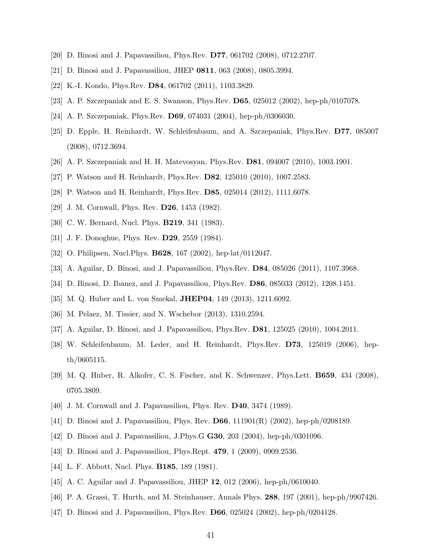- <span id="page-40-14"></span><span id="page-40-13"></span>[20] D. Binosi and J. Papavassiliou, Phys.Rev. D77, 061702 (2008), 0712.2707.
- [21] D. Binosi and J. Papavassiliou, JHEP 0811, 063 (2008), 0805.3994.
- [22] K.-I. Kondo, Phys.Rev. **D84**, 061702 (2011), 1103.3829.
- [23] A. P. Szczepaniak and E. S. Swanson, Phys.Rev. D65, 025012 (2002), hep-ph/0107078.
- [24] A. P. Szczepaniak, Phys.Rev. D69, 074031 (2004), hep-ph/0306030.
- [25] D. Epple, H. Reinhardt, W. Schleifenbaum, and A. Szczepaniak, Phys.Rev. D77, 085007 (2008), 0712.3694.
- [26] A. P. Szczepaniak and H. H. Matevosyan, Phys.Rev. D81, 094007 (2010), 1003.1901.
- <span id="page-40-0"></span>[27] P. Watson and H. Reinhardt, Phys.Rev. D82, 125010 (2010), 1007.2583.
- <span id="page-40-1"></span>[28] P. Watson and H. Reinhardt, Phys.Rev. D85, 025014 (2012), 1111.6078.
- [29] J. M. Cornwall, Phys. Rev. D26, 1453 (1982).
- [30] C. W. Bernard, Nucl. Phys. **B219**, 341 (1983).
- <span id="page-40-2"></span>[31] J. F. Donoghue, Phys. Rev. D29, 2559 (1984).
- <span id="page-40-3"></span>[32] O. Philipsen, Nucl. Phys. **B628**, 167 (2002), hep-lat/0112047.
- <span id="page-40-4"></span>[33] A. Aguilar, D. Binosi, and J. Papavassiliou, Phys.Rev. D84, 085026 (2011), 1107.3968.
- <span id="page-40-5"></span>[34] D. Binosi, D. Ibanez, and J. Papavassiliou, Phys.Rev. D86, 085033 (2012), 1208.1451.
- [35] M. Q. Huber and L. von Smekal, **JHEP04**, 149 (2013), 1211.6092.
- <span id="page-40-6"></span>[36] M. Pelaez, M. Tissier, and N. Wschebor (2013), 1310.2594.
- <span id="page-40-7"></span>[37] A. Aguilar, D. Binosi, and J. Papavassiliou, Phys.Rev. D81, 125025 (2010), 1004.2011.
- <span id="page-40-8"></span>[38] W. Schleifenbaum, M. Leder, and H. Reinhardt, Phys.Rev. D73, 125019 (2006), hepth/0605115.
- <span id="page-40-9"></span>[39] M. Q. Huber, R. Alkofer, C. S. Fischer, and K. Schwenzer, Phys.Lett. B659, 434 (2008), 0705.3809.
- <span id="page-40-10"></span>[40] J. M. Cornwall and J. Papavassiliou, Phys. Rev. **D40**, 3474 (1989).
- [41] D. Binosi and J. Papavassiliou, Phys. Rev. D66, 111901(R) (2002), hep-ph/0208189.
- [42] D. Binosi and J. Papavassiliou, J.Phys.G G30, 203 (2004), hep-ph/0301096.
- <span id="page-40-11"></span>[43] D. Binosi and J. Papavassiliou, Phys.Rept. 479, 1 (2009), 0909.2536.
- <span id="page-40-12"></span>[44] L. F. Abbott, Nucl. Phys. **B185**, 189 (1981).
- <span id="page-40-15"></span>[45] A. C. Aguilar and J. Papavassiliou, JHEP 12, 012 (2006), hep-ph/0610040.
- <span id="page-40-16"></span>[46] P. A. Grassi, T. Hurth, and M. Steinhauser, Annals Phys. 288, 197 (2001), hep-ph/9907426.
- <span id="page-40-17"></span>[47] D. Binosi and J. Papavassiliou, Phys.Rev. D66, 025024 (2002), hep-ph/0204128.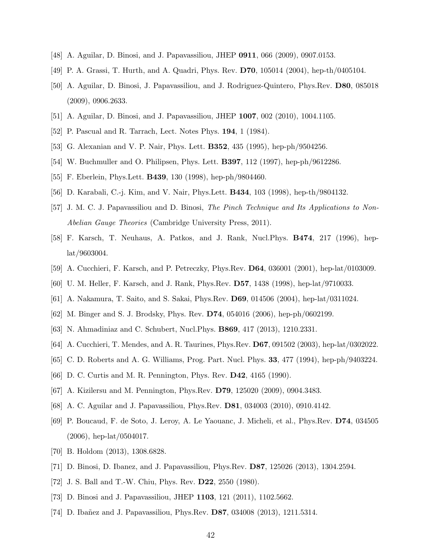- <span id="page-41-0"></span>[48] A. Aguilar, D. Binosi, and J. Papavassiliou, JHEP 0911, 066 (2009), 0907.0153.
- [49] P. A. Grassi, T. Hurth, and A. Quadri, Phys. Rev. D70, 105014 (2004), hep-th/0405104.
- [50] A. Aguilar, D. Binosi, J. Papavassiliou, and J. Rodriguez-Quintero, Phys.Rev. D80, 085018 (2009), 0906.2633.
- <span id="page-41-2"></span><span id="page-41-1"></span>[51] A. Aguilar, D. Binosi, and J. Papavassiliou, JHEP 1007, 002 (2010), 1004.1105.
- <span id="page-41-3"></span>[52] P. Pascual and R. Tarrach, Lect. Notes Phys. 194, 1 (1984).
- [53] G. Alexanian and V. P. Nair, Phys. Lett. B352, 435 (1995), hep-ph/9504256.
- [54] W. Buchmuller and O. Philipsen, Phys. Lett. B397, 112 (1997), hep-ph/9612286.
- <span id="page-41-4"></span>[55] F. Eberlein, Phys.Lett. B439, 130 (1998), hep-ph/9804460.
- <span id="page-41-9"></span>[56] D. Karabali, C.-j. Kim, and V. Nair, Phys.Lett. B434, 103 (1998), hep-th/9804132.
- [57] J. M. C. J. Papavassiliou and D. Binosi, The Pinch Technique and Its Applications to Non-Abelian Gauge Theories (Cambridge University Press, 2011).
- <span id="page-41-5"></span>[58] F. Karsch, T. Neuhaus, A. Patkos, and J. Rank, Nucl.Phys. B474, 217 (1996), heplat/9603004.
- [59] A. Cucchieri, F. Karsch, and P. Petreczky, Phys.Rev. D64, 036001 (2001), hep-lat/0103009.
- <span id="page-41-6"></span>[60] U. M. Heller, F. Karsch, and J. Rank, Phys.Rev. D57, 1438 (1998), hep-lat/9710033.
- [61] A. Nakamura, T. Saito, and S. Sakai, Phys.Rev. D69, 014506 (2004), hep-lat/0311024.
- <span id="page-41-7"></span>[62] M. Binger and S. J. Brodsky, Phys. Rev. D74, 054016 (2006), hep-ph/0602199.
- <span id="page-41-8"></span>[63] N. Ahmadiniaz and C. Schubert, Nucl.Phys. B869, 417 (2013), 1210.2331.
- <span id="page-41-11"></span><span id="page-41-10"></span>[64] A. Cucchieri, T. Mendes, and A. R. Taurines, Phys.Rev. D67, 091502 (2003), hep-lat/0302022.
- [65] C. D. Roberts and A. G. Williams, Prog. Part. Nucl. Phys. 33, 477 (1994), hep-ph/9403224.
- <span id="page-41-12"></span>[66] D. C. Curtis and M. R. Pennington, Phys. Rev. D42, 4165 (1990).
- <span id="page-41-13"></span>[67] A. Kizilersu and M. Pennington, Phys.Rev. D79, 125020 (2009), 0904.3483.
- <span id="page-41-14"></span>[68] A. C. Aguilar and J. Papavassiliou, Phys.Rev. D81, 034003 (2010), 0910.4142.
- <span id="page-41-15"></span>[69] P. Boucaud, F. de Soto, J. Leroy, A. Le Yaouanc, J. Micheli, et al., Phys.Rev. D74, 034505 (2006), hep-lat/0504017.
- <span id="page-41-16"></span>[70] B. Holdom (2013), 1308.6828.
- <span id="page-41-17"></span>[71] D. Binosi, D. Ibanez, and J. Papavassiliou, Phys.Rev. D87, 125026 (2013), 1304.2594.
- <span id="page-41-18"></span>[72] J. S. Ball and T.-W. Chiu, Phys. Rev. D22, 2550 (1980).
- <span id="page-41-19"></span>[73] D. Binosi and J. Papavassiliou, JHEP 1103, 121 (2011), 1102.5662.
- <span id="page-41-20"></span>[74] D. Ibañez and J. Papavassiliou, Phys.Rev. **D87**, 034008 (2013), 1211.5314.